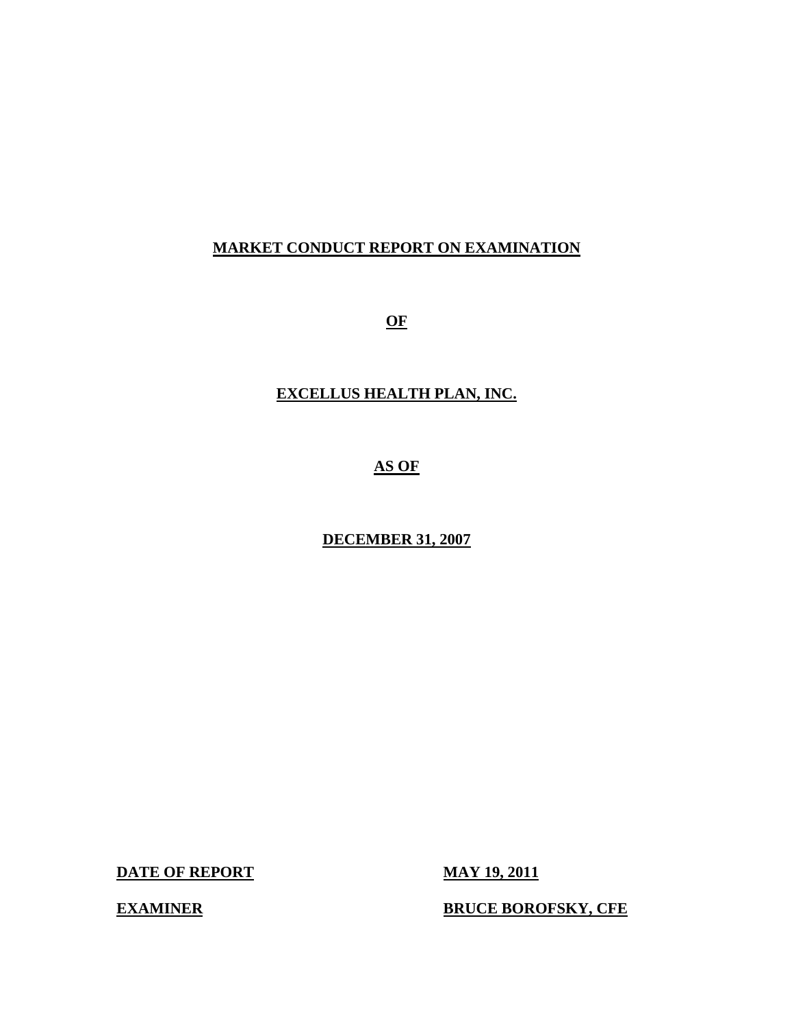# **MARKET CONDUCT REPORT ON EXAMINATION**

**OF** 

# **EXCELLUS HEALTH PLAN, INC.**

# **AS OF**

# **DECEMBER 31, 2007**

**DATE OF REPORT MAY 19, 2011** 

**EXAMINER BRUCE BOROFSKY, CFE**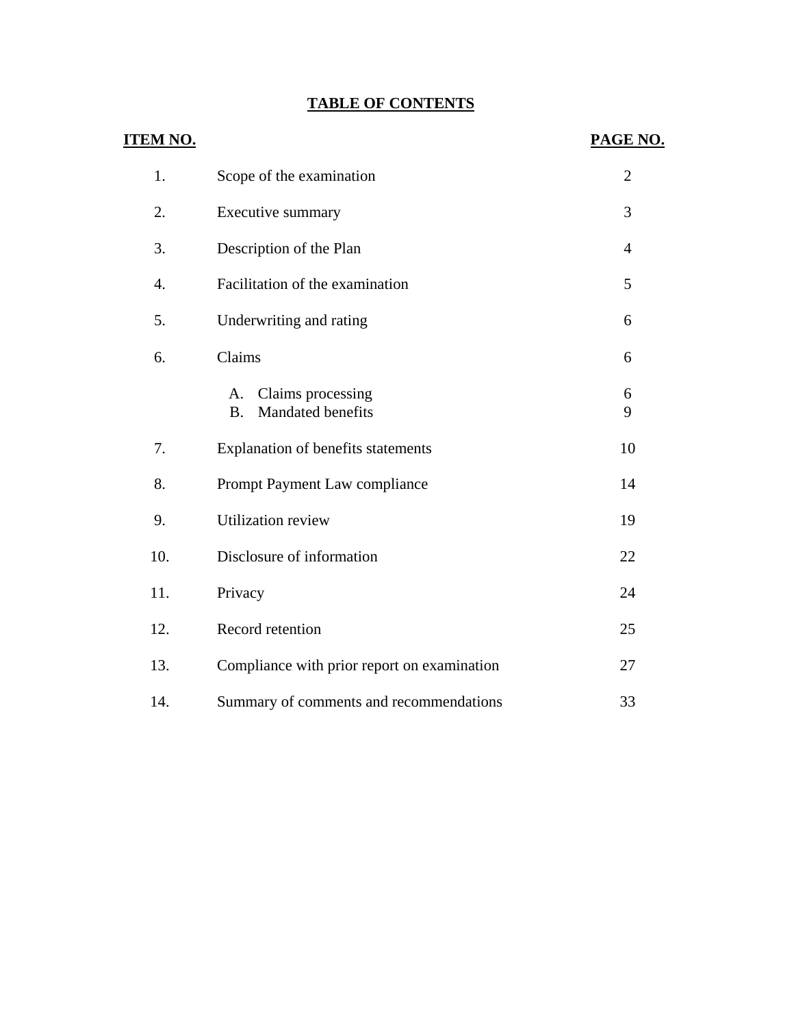# **TABLE OF CONTENTS**

| <u>ITEM NO.</u> |                                                           | PAGE NO.       |
|-----------------|-----------------------------------------------------------|----------------|
| 1.              | Scope of the examination                                  | $\overline{2}$ |
| 2.              | Executive summary                                         | 3              |
| 3.              | Description of the Plan                                   | $\overline{4}$ |
| 4.              | Facilitation of the examination                           | 5              |
| 5.              | Underwriting and rating                                   | 6              |
| 6.              | Claims                                                    | 6              |
|                 | Claims processing<br>A.<br>Mandated benefits<br><b>B.</b> | 6<br>9         |
| 7.              | Explanation of benefits statements                        | 10             |
| 8.              | Prompt Payment Law compliance                             | 14             |
| 9.              | <b>Utilization review</b>                                 | 19             |
| 10.             | Disclosure of information                                 | 22             |
| 11.             | Privacy                                                   | 24             |
| 12.             | Record retention                                          | 25             |
| 13.             | Compliance with prior report on examination               | 27             |
| 14.             | Summary of comments and recommendations                   | 33             |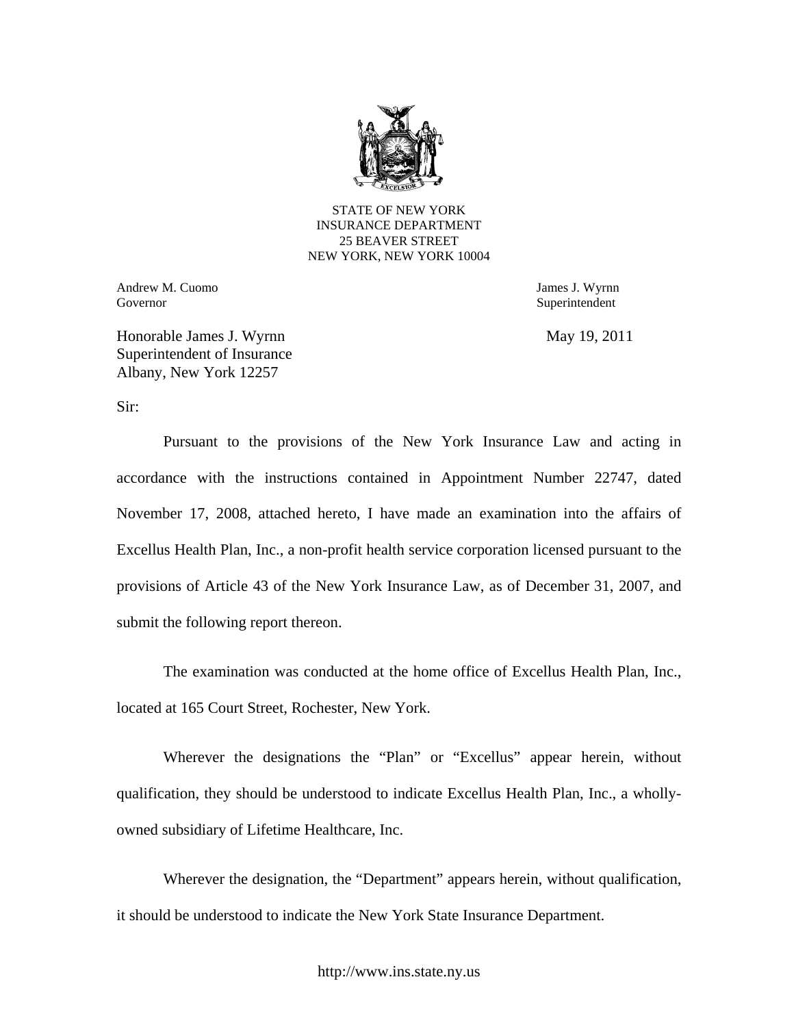

STATE OF NEW YORK INSURANCE DEPARTMENT 25 BEAVER STREET NEW YORK, NEW YORK 10004

Andrew M. Cuomo James J. Wyrnn Governor Superintendent Superintendent Superintendent Superintendent Superintendent Superintendent Superintendent Superintendent Superintendent Superintendent Superintendent Superintendent Superintendent Superintendent Sup

Honorable James J. Wyrnn May 19, 2011 Superintendent of Insurance Albany, New York 12257

Sir:

Pursuant to the provisions of the New York Insurance Law and acting in accordance with the instructions contained in Appointment Number 22747, dated November 17, 2008, attached hereto, I have made an examination into the affairs of Excellus Health Plan, Inc., a non-profit health service corporation licensed pursuant to the provisions of Article 43 of the New York Insurance Law, as of December 31, 2007, and submit the following report thereon.

The examination was conducted at the home office of Excellus Health Plan, Inc., located at 165 Court Street, Rochester, New York.

Wherever the designations the "Plan" or "Excellus" appear herein, without qualification, they should be understood to indicate Excellus Health Plan, Inc., a whollyowned subsidiary of Lifetime Healthcare, Inc.

Wherever the designation, the "Department" appears herein, without qualification, it should be understood to indicate the New York State Insurance Department.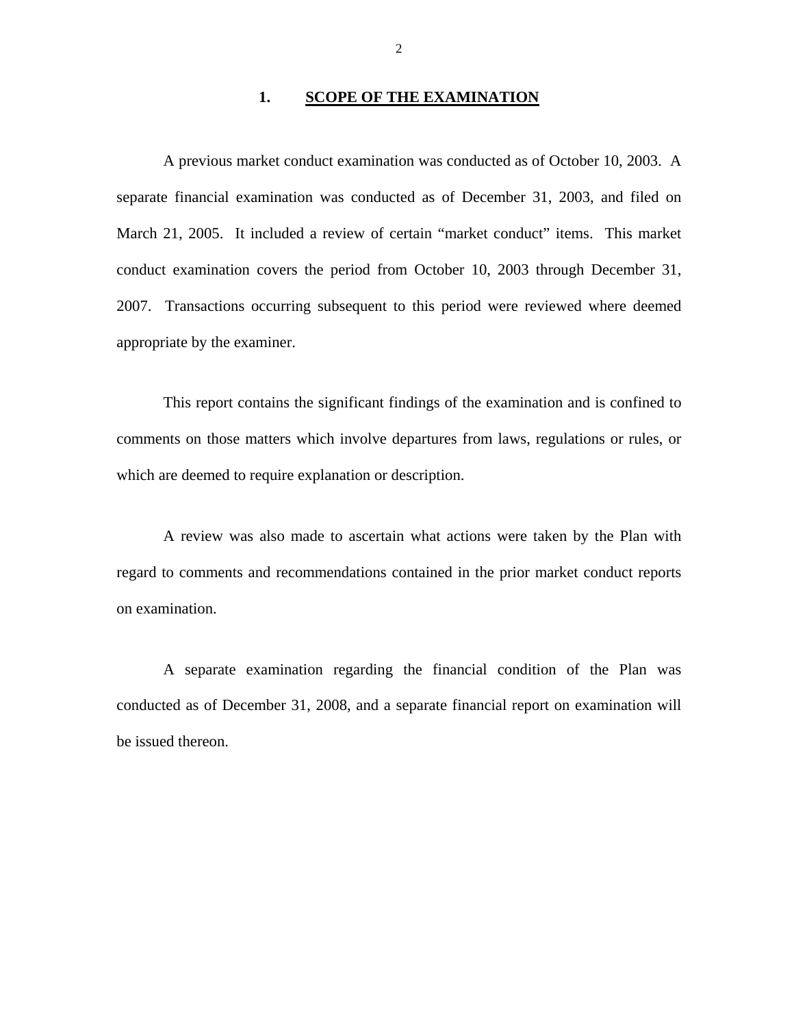#### 1. SCOPE OF THE EXAMINATION

A previous market conduct examination was conducted as of October 10, 2003. A separate financial examination was conducted as of December 31, 2003, and filed on March 21, 2005. It included a review of certain "market conduct" items. This market conduct examination covers the period from October 10, 2003 through December 31, 2007. Transactions occurring subsequent to this period were reviewed where deemed appropriate by the examiner.

This report contains the significant findings of the examination and is confined to comments on those matters which involve departures from laws, regulations or rules, or which are deemed to require explanation or description.

A review was also made to ascertain what actions were taken by the Plan with regard to comments and recommendations contained in the prior market conduct reports on examination.

A separate examination regarding the financial condition of the Plan was conducted as of December 31, 2008, and a separate financial report on examination will be issued thereon.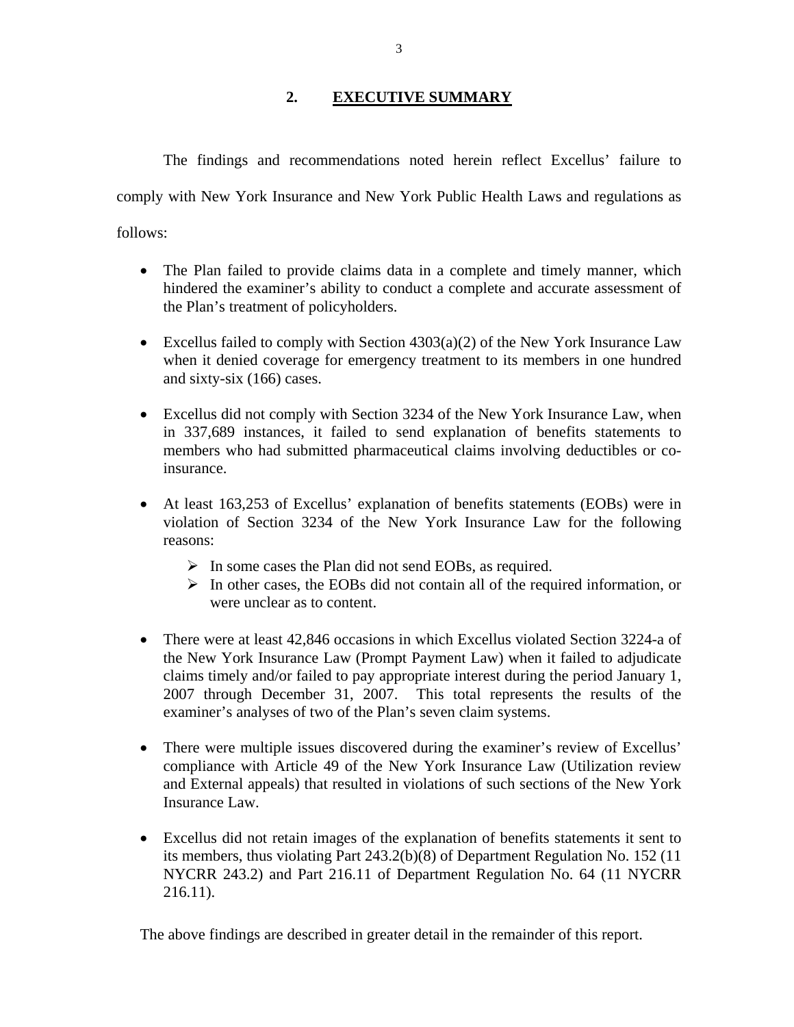# **2. EXECUTIVE SUMMARY**

The findings and recommendations noted herein reflect Excellus' failure to comply with New York Insurance and New York Public Health Laws and regulations as follows:

- The Plan failed to provide claims data in a complete and timely manner, which hindered the examiner's ability to conduct a complete and accurate assessment of the Plan's treatment of policyholders.
- Excellus failed to comply with Section  $4303(a)(2)$  of the New York Insurance Law when it denied coverage for emergency treatment to its members in one hundred and sixty-six (166) cases.
- Excellus did not comply with Section 3234 of the New York Insurance Law, when in 337,689 instances, it failed to send explanation of benefits statements to members who had submitted pharmaceutical claims involving deductibles or coinsurance.
- At least 163,253 of Excellus' explanation of benefits statements (EOBs) were in violation of Section 3234 of the New York Insurance Law for the following reasons:
	- $\triangleright$  In some cases the Plan did not send EOBs, as required.
	- $\triangleright$  In other cases, the EOBs did not contain all of the required information, or were unclear as to content.
- There were at least 42,846 occasions in which Excellus violated Section 3224-a of the New York Insurance Law (Prompt Payment Law) when it failed to adjudicate claims timely and/or failed to pay appropriate interest during the period January 1, 2007 through December 31, 2007. This total represents the results of the examiner's analyses of two of the Plan's seven claim systems.
- There were multiple issues discovered during the examiner's review of Excellus' compliance with Article 49 of the New York Insurance Law (Utilization review and External appeals) that resulted in violations of such sections of the New York Insurance Law.
- Excellus did not retain images of the explanation of benefits statements it sent to its members, thus violating Part 243.2(b)(8) of Department Regulation No. 152 (11 NYCRR 243.2) and Part 216.11 of Department Regulation No. 64 (11 NYCRR 216.11).

The above findings are described in greater detail in the remainder of this report.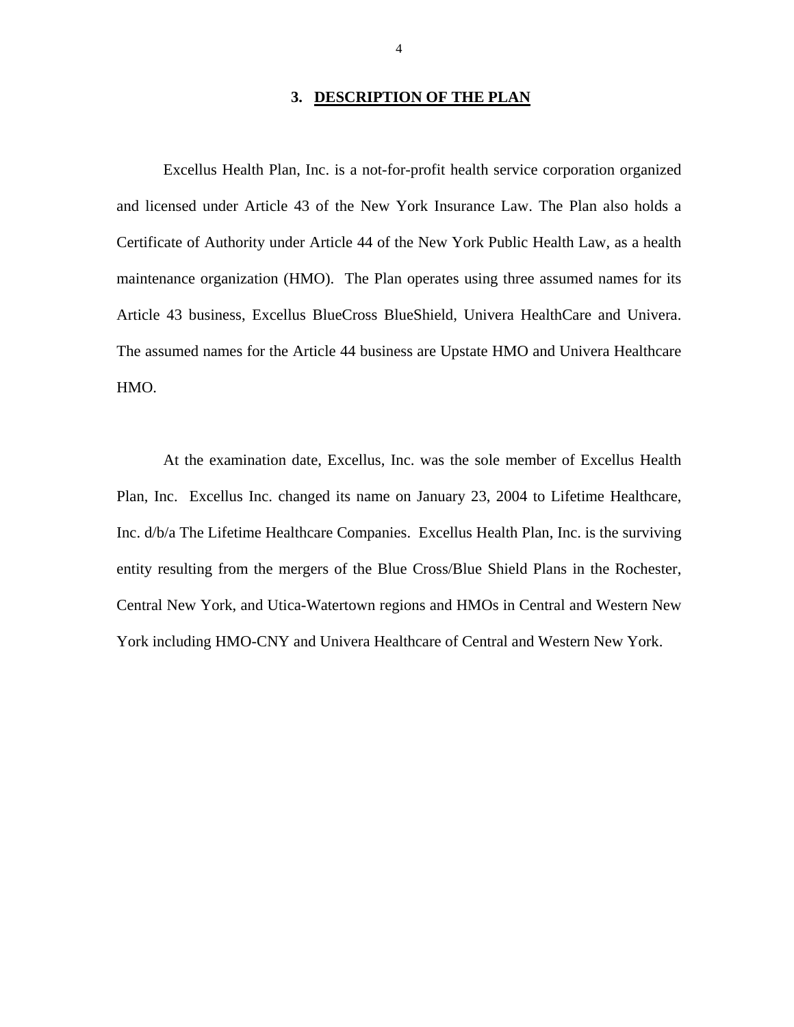#### **3. DESCRIPTION OF THE PLAN**

Excellus Health Plan, Inc. is a not-for-profit health service corporation organized and licensed under Article 43 of the New York Insurance Law. The Plan also holds a Certificate of Authority under Article 44 of the New York Public Health Law, as a health maintenance organization (HMO). The Plan operates using three assumed names for its Article 43 business, Excellus BlueCross BlueShield, Univera HealthCare and Univera. The assumed names for the Article 44 business are Upstate HMO and Univera Healthcare HMO.

At the examination date, Excellus, Inc. was the sole member of Excellus Health Plan, Inc. Excellus Inc. changed its name on January 23, 2004 to Lifetime Healthcare, Inc. d/b/a The Lifetime Healthcare Companies. Excellus Health Plan, Inc. is the surviving entity resulting from the mergers of the Blue Cross/Blue Shield Plans in the Rochester, Central New York, and Utica-Watertown regions and HMOs in Central and Western New York including HMO-CNY and Univera Healthcare of Central and Western New York.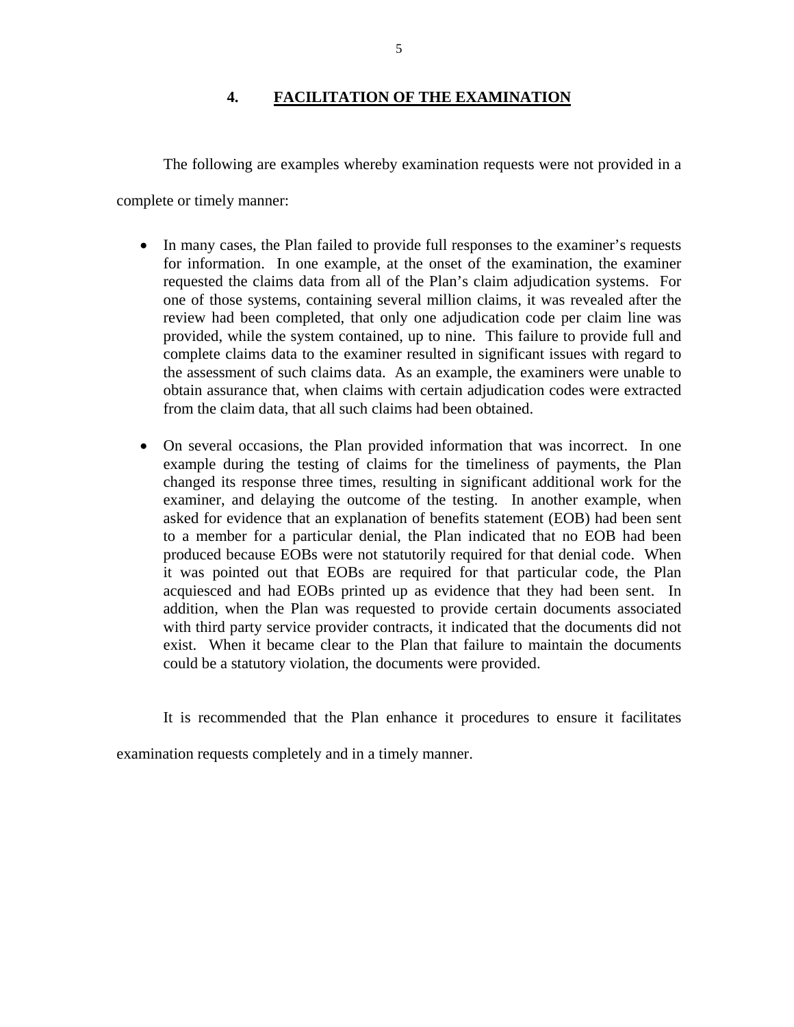# **4. FACILITATION OF THE EXAMINATION**

<span id="page-6-0"></span>The following are examples whereby examination requests were not provided in a

complete or timely manner:

- In many cases, the Plan failed to provide full responses to the examiner's requests for information. In one example, at the onset of the examination, the examiner requested the claims data from all of the Plan's claim adjudication systems. For one of those systems, containing several million claims, it was revealed after the review had been completed, that only one adjudication code per claim line was provided, while the system contained, up to nine. This failure to provide full and complete claims data to the examiner resulted in significant issues with regard to the assessment of such claims data. As an example, the examiners were unable to obtain assurance that, when claims with certain adjudication codes were extracted from the claim data, that all such claims had been obtained.
- On several occasions, the Plan provided information that was incorrect. In one example during the testing of claims for the timeliness of payments, the Plan changed its response three times, resulting in significant additional work for the examiner, and delaying the outcome of the testing. In another example, when asked for evidence that an explanation of benefits statement (EOB) had been sent to a member for a particular denial, the Plan indicated that no EOB had been produced because EOBs were not statutorily required for that denial code. When it was pointed out that EOBs are required for that particular code, the Plan acquiesced and had EOBs printed up as evidence that they had been sent. In addition, when the Plan was requested to provide certain documents associated with third party service provider contracts, it indicated that the documents did not exist. When it became clear to the Plan that failure to maintain the documents could be a statutory violation, the documents were provided.

It is recommended that the Plan enhance it procedures to ensure it facilitates

examination requests completely and in a timely manner.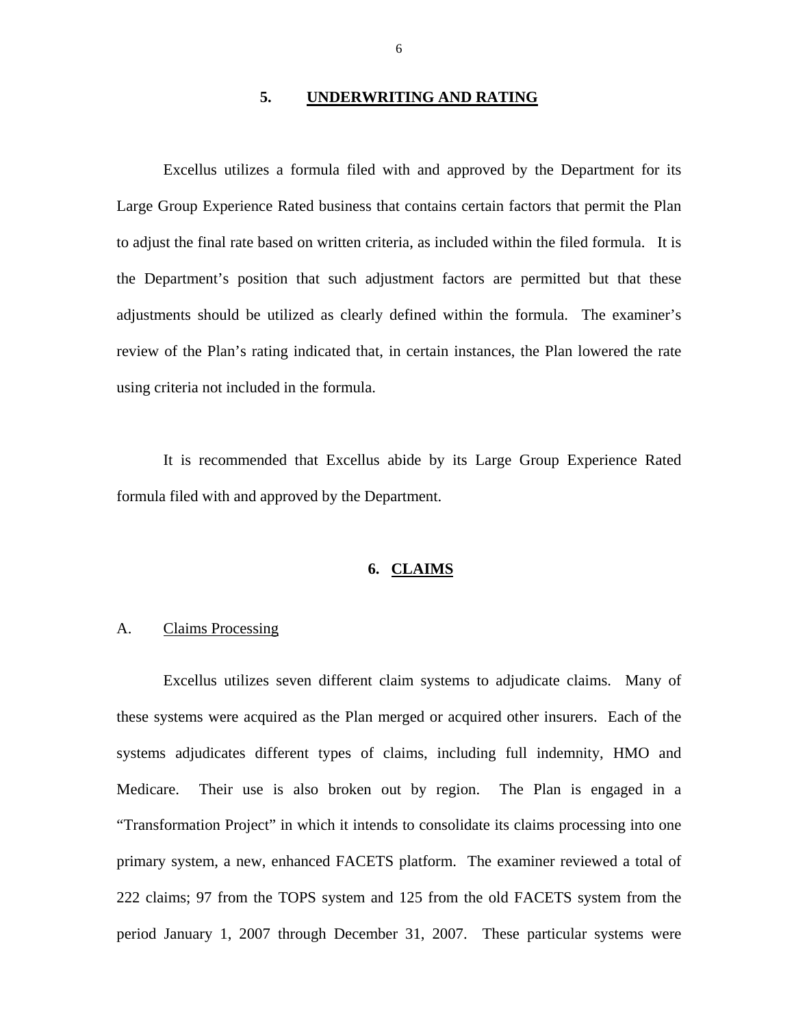#### **5. UNDERWRITING AND RATING**

<span id="page-7-0"></span>Excellus utilizes a formula filed with and approved by the Department for its Large Group Experience Rated business that contains certain factors that permit the Plan to adjust the final rate based on written criteria, as included within the filed formula. It is the Department's position that such adjustment factors are permitted but that these adjustments should be utilized as clearly defined within the formula. The examiner's review of the Plan's rating indicated that, in certain instances, the Plan lowered the rate using criteria not included in the formula.

It is recommended that Excellus abide by its Large Group Experience Rated formula filed with and approved by the Department.

#### **6. CLAIMS**

#### A. Claims Processing

Excellus utilizes seven different claim systems to adjudicate claims. Many of these systems were acquired as the Plan merged or acquired other insurers. Each of the systems adjudicates different types of claims, including full indemnity, HMO and Medicare. Their use is also broken out by region. The Plan is engaged in a "Transformation Project" in which it intends to consolidate its claims processing into one primary system, a new, enhanced FACETS platform. The examiner reviewed a total of 222 claims; 97 from the TOPS system and 125 from the old FACETS system from the period January 1, 2007 through December 31, 2007. These particular systems were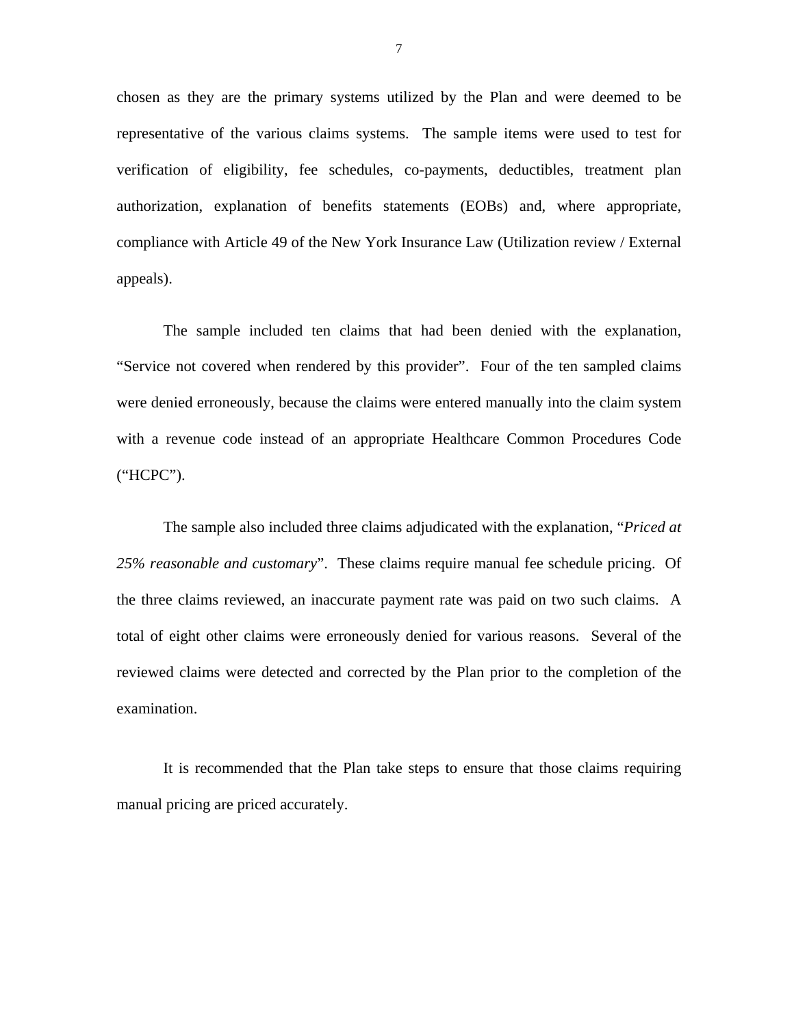chosen as they are the primary systems utilized by the Plan and were deemed to be representative of the various claims systems. The sample items were used to test for verification of eligibility, fee schedules, co-payments, deductibles, treatment plan authorization, explanation of benefits statements (EOBs) and, where appropriate, compliance with Article 49 of the New York Insurance Law (Utilization review / External appeals).

The sample included ten claims that had been denied with the explanation, "Service not covered when rendered by this provider". Four of the ten sampled claims were denied erroneously, because the claims were entered manually into the claim system with a revenue code instead of an appropriate Healthcare Common Procedures Code ("HCPC").

The sample also included three claims adjudicated with the explanation, "*Priced at 25% reasonable and customary*". These claims require manual fee schedule pricing. Of the three claims reviewed, an inaccurate payment rate was paid on two such claims. A total of eight other claims were erroneously denied for various reasons. Several of the reviewed claims were detected and corrected by the Plan prior to the completion of the examination.

It is recommended that the Plan take steps to ensure that those claims requiring manual pricing are priced accurately.

7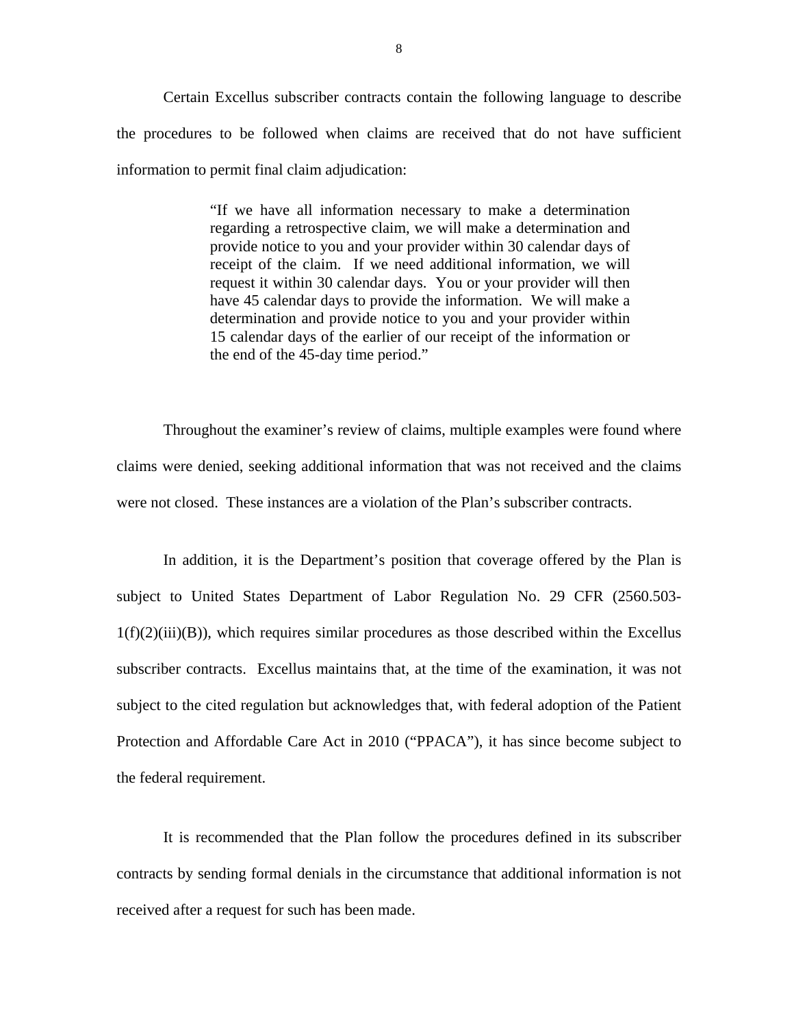Certain Excellus subscriber contracts contain the following language to describe the procedures to be followed when claims are received that do not have sufficient information to permit final claim adjudication:

> "If we have all information necessary to make a determination regarding a retrospective claim, we will make a determination and provide notice to you and your provider within 30 calendar days of receipt of the claim. If we need additional information, we will request it within 30 calendar days. You or your provider will then have 45 calendar days to provide the information. We will make a determination and provide notice to you and your provider within 15 calendar days of the earlier of our receipt of the information or the end of the 45-day time period."

Throughout the examiner's review of claims, multiple examples were found where claims were denied, seeking additional information that was not received and the claims were not closed. These instances are a violation of the Plan's subscriber contracts.

In addition, it is the Department's position that coverage offered by the Plan is subject to United States Department of Labor Regulation No. 29 CFR (2560.503-  $1(f)(2)(iii)(B)$ , which requires similar procedures as those described within the Excellus subscriber contracts. Excellus maintains that, at the time of the examination, it was not subject to the cited regulation but acknowledges that, with federal adoption of the Patient Protection and Affordable Care Act in 2010 ("PPACA"), it has since become subject to the federal requirement.

It is recommended that the Plan follow the procedures defined in its subscriber contracts by sending formal denials in the circumstance that additional information is not received after a request for such has been made.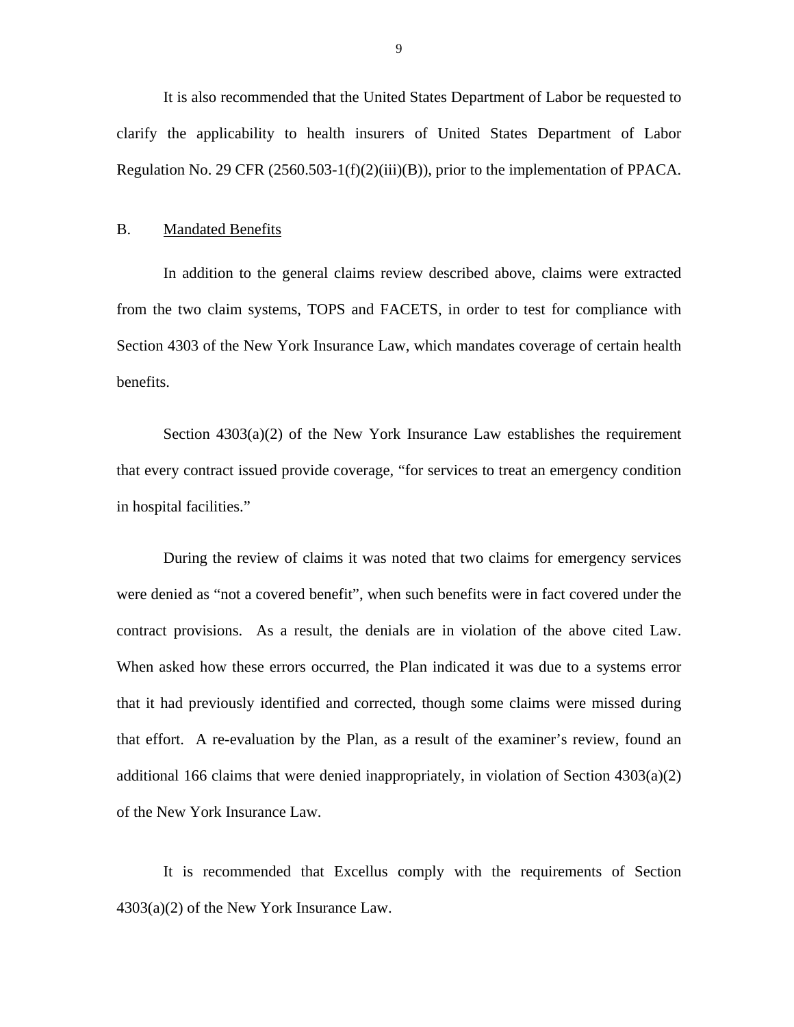<span id="page-10-0"></span>It is also recommended that the United States Department of Labor be requested to clarify the applicability to health insurers of United States Department of Labor Regulation No. 29 CFR (2560.503-1(f)(2)(iii)(B)), prior to the implementation of PPACA.

#### B. Mandated Benefits

In addition to the general claims review described above, claims were extracted from the two claim systems, TOPS and FACETS, in order to test for compliance with Section 4303 of the New York Insurance Law, which mandates coverage of certain health benefits.

Section  $4303(a)(2)$  of the New York Insurance Law establishes the requirement that every contract issued provide coverage, "for services to treat an emergency condition in hospital facilities."

During the review of claims it was noted that two claims for emergency services were denied as "not a covered benefit", when such benefits were in fact covered under the contract provisions. As a result, the denials are in violation of the above cited Law. When asked how these errors occurred, the Plan indicated it was due to a systems error that it had previously identified and corrected, though some claims were missed during that effort. A re-evaluation by the Plan, as a result of the examiner's review, found an additional 166 claims that were denied inappropriately, in violation of Section 4303(a)(2) of the New York Insurance Law.

It is recommended that Excellus comply with the requirements of Section 4303(a)(2) of the New York Insurance Law.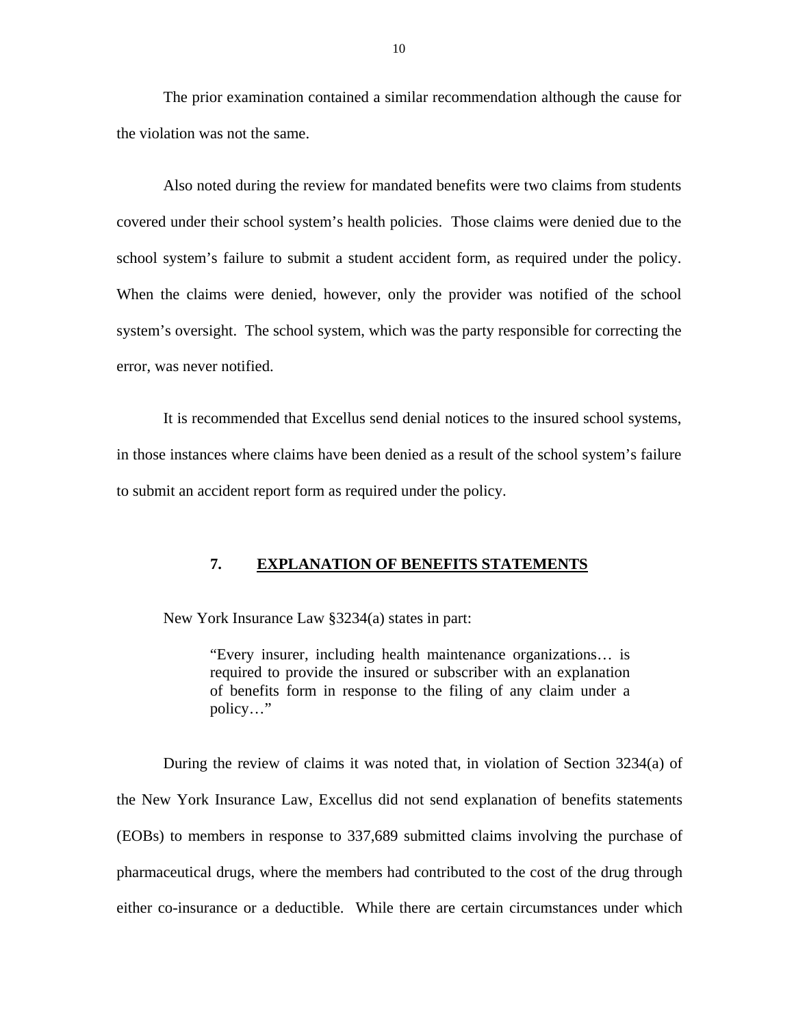<span id="page-11-0"></span>The prior examination contained a similar recommendation although the cause for the violation was not the same.

Also noted during the review for mandated benefits were two claims from students covered under their school system's health policies. Those claims were denied due to the school system's failure to submit a student accident form, as required under the policy. When the claims were denied, however, only the provider was notified of the school system's oversight. The school system, which was the party responsible for correcting the error, was never notified.

It is recommended that Excellus send denial notices to the insured school systems, in those instances where claims have been denied as a result of the school system's failure to submit an accident report form as required under the policy.

### **7. EXPLANATION OF BENEFITS STATEMENTS**

New York Insurance Law §3234(a) states in part:

"Every insurer, including health maintenance organizations… is required to provide the insured or subscriber with an explanation of benefits form in response to the filing of any claim under a policy…"

During the review of claims it was noted that, in violation of Section 3234(a) of the New York Insurance Law, Excellus did not send explanation of benefits statements (EOBs) to members in response to 337,689 submitted claims involving the purchase of pharmaceutical drugs, where the members had contributed to the cost of the drug through either co-insurance or a deductible. While there are certain circumstances under which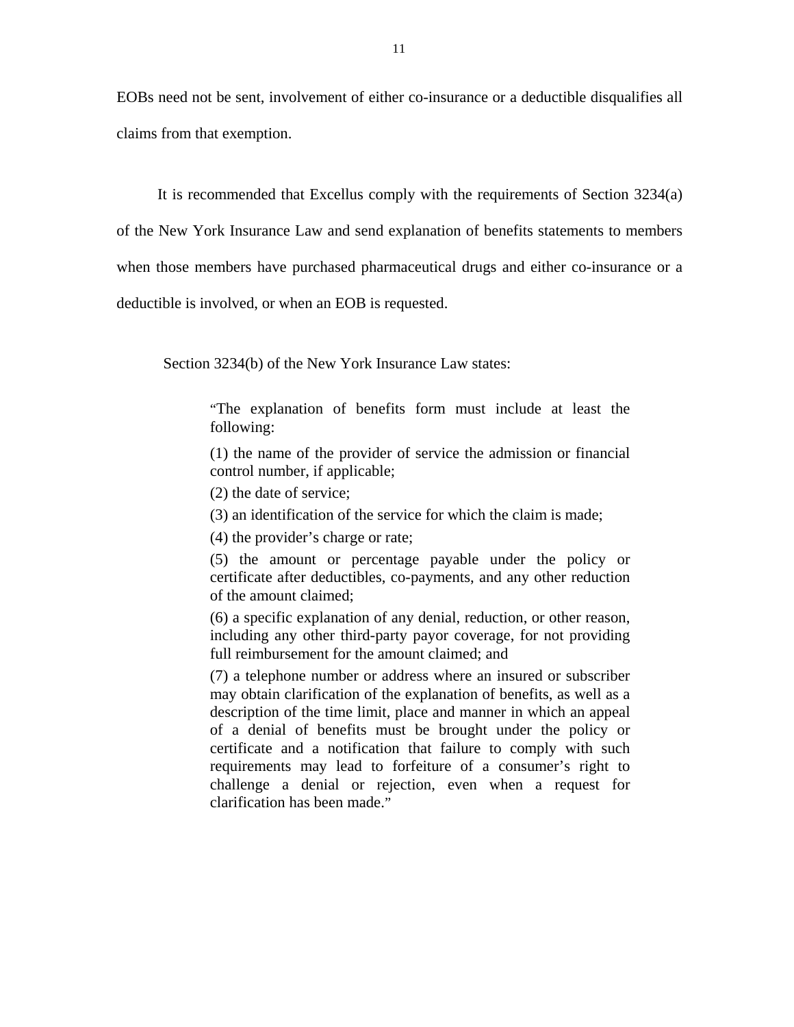EOBs need not be sent, involvement of either co-insurance or a deductible disqualifies all claims from that exemption.

It is recommended that Excellus comply with the requirements of Section 3234(a)

of the New York Insurance Law and send explanation of benefits statements to members

when those members have purchased pharmaceutical drugs and either co-insurance or a

deductible is involved, or when an EOB is requested.

Section 3234(b) of the New York Insurance Law states:

"The explanation of benefits form must include at least the following:

(1) the name of the provider of service the admission or financial control number, if applicable;

(2) the date of service;

(3) an identification of the service for which the claim is made;

(4) the provider's charge or rate;

(5) the amount or percentage payable under the policy or certificate after deductibles, co-payments, and any other reduction of the amount claimed;

(6) a specific explanation of any denial, reduction, or other reason, including any other third-party payor coverage, for not providing full reimbursement for the amount claimed; and

(7) a telephone number or address where an insured or subscriber may obtain clarification of the explanation of benefits, as well as a description of the time limit, place and manner in which an appeal of a denial of benefits must be brought under the policy or certificate and a notification that failure to comply with such requirements may lead to forfeiture of a consumer's right to challenge a denial or rejection, even when a request for clarification has been made."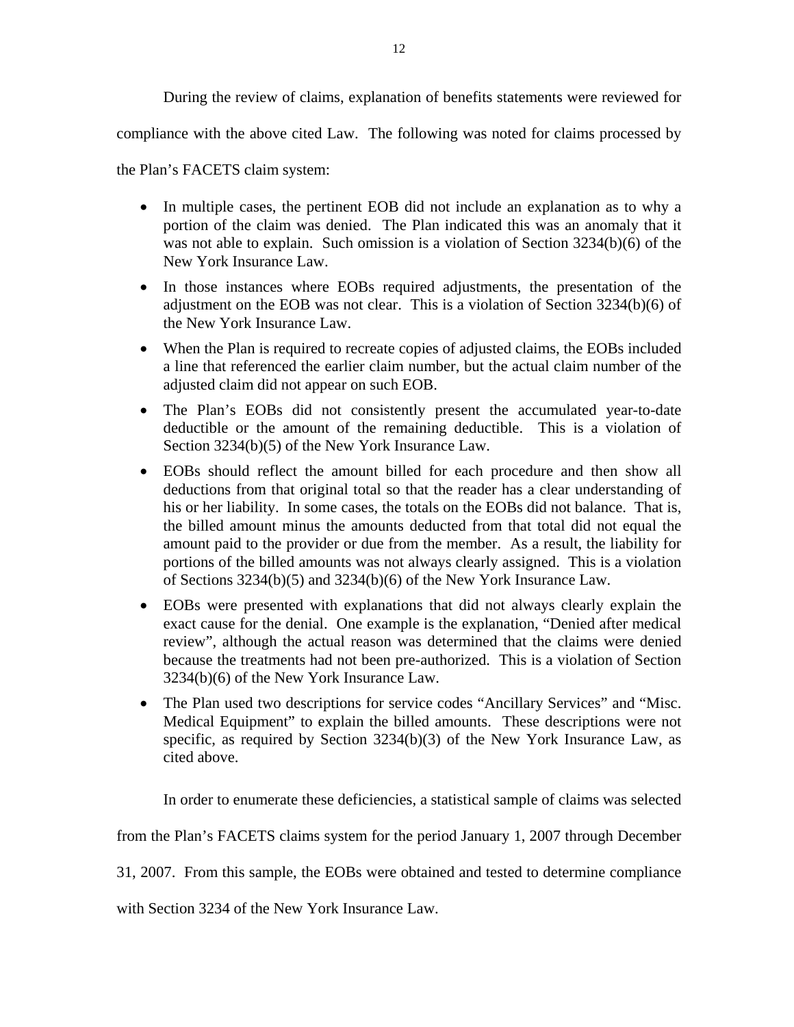During the review of claims, explanation of benefits statements were reviewed for

compliance with the above cited Law. The following was noted for claims processed by

the Plan's FACETS claim system:

- In multiple cases, the pertinent EOB did not include an explanation as to why a portion of the claim was denied. The Plan indicated this was an anomaly that it was not able to explain. Such omission is a violation of Section 3234(b)(6) of the New York Insurance Law.
- In those instances where EOBs required adjustments, the presentation of the adjustment on the EOB was not clear. This is a violation of Section  $3234(b)(6)$  of the New York Insurance Law.
- When the Plan is required to recreate copies of adjusted claims, the EOBs included a line that referenced the earlier claim number, but the actual claim number of the adjusted claim did not appear on such EOB.
- The Plan's EOBs did not consistently present the accumulated year-to-date deductible or the amount of the remaining deductible. This is a violation of Section 3234(b)(5) of the New York Insurance Law.
- EOBs should reflect the amount billed for each procedure and then show all deductions from that original total so that the reader has a clear understanding of his or her liability. In some cases, the totals on the EOBs did not balance. That is, the billed amount minus the amounts deducted from that total did not equal the amount paid to the provider or due from the member. As a result, the liability for portions of the billed amounts was not always clearly assigned. This is a violation of Sections 3234(b)(5) and 3234(b)(6) of the New York Insurance Law.
- EOBs were presented with explanations that did not always clearly explain the exact cause for the denial. One example is the explanation, "Denied after medical review", although the actual reason was determined that the claims were denied because the treatments had not been pre-authorized. This is a violation of Section 3234(b)(6) of the New York Insurance Law.
- The Plan used two descriptions for service codes "Ancillary Services" and "Misc. Medical Equipment" to explain the billed amounts. These descriptions were not specific, as required by Section 3234(b)(3) of the New York Insurance Law, as cited above.

In order to enumerate these deficiencies, a statistical sample of claims was selected

from the Plan's FACETS claims system for the period January 1, 2007 through December

31, 2007. From this sample, the EOBs were obtained and tested to determine compliance

with Section 3234 of the New York Insurance Law.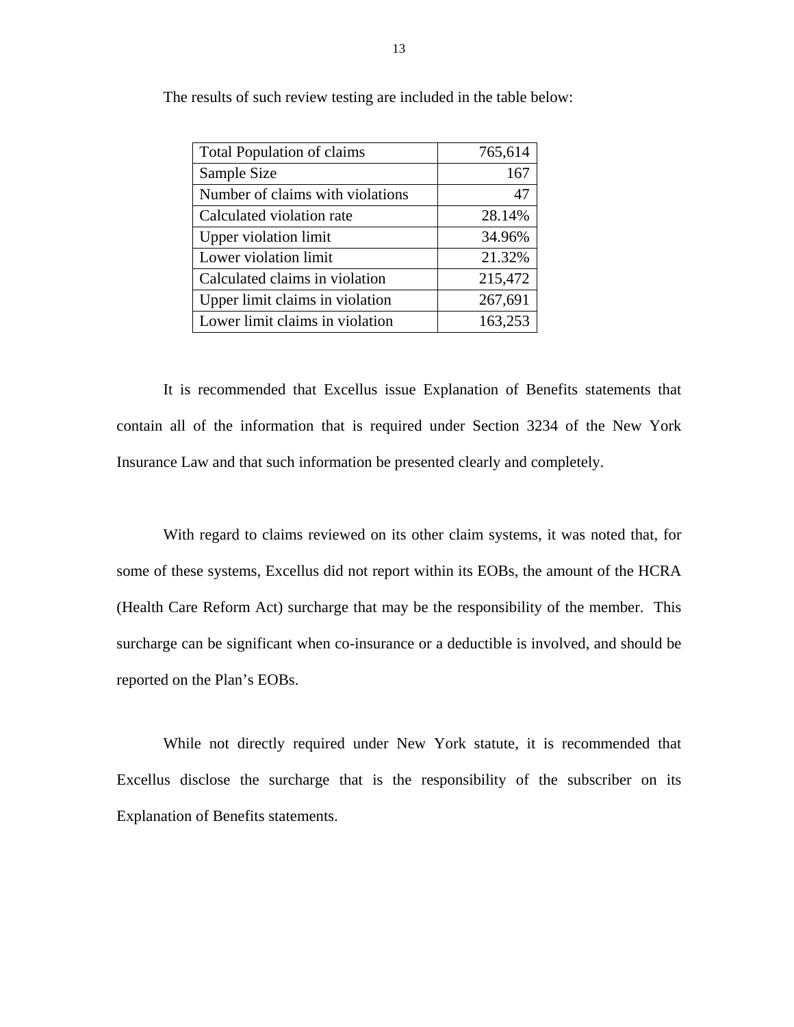| <b>Total Population of claims</b> | 765,614 |
|-----------------------------------|---------|
| Sample Size                       | 167     |
| Number of claims with violations  | 47      |
| Calculated violation rate         | 28.14%  |
| <b>Upper violation limit</b>      | 34.96%  |
| Lower violation limit             | 21.32%  |
| Calculated claims in violation    | 215,472 |
| Upper limit claims in violation   | 267,691 |
| Lower limit claims in violation   | 163,253 |

The results of such review testing are included in the table below:

It is recommended that Excellus issue Explanation of Benefits statements that contain all of the information that is required under Section 3234 of the New York Insurance Law and that such information be presented clearly and completely.

With regard to claims reviewed on its other claim systems, it was noted that, for some of these systems, Excellus did not report within its EOBs, the amount of the HCRA (Health Care Reform Act) surcharge that may be the responsibility of the member. This surcharge can be significant when co-insurance or a deductible is involved, and should be reported on the Plan's EOBs.

While not directly required under New York statute, it is recommended that Excellus disclose the surcharge that is the responsibility of the subscriber on its Explanation of Benefits statements.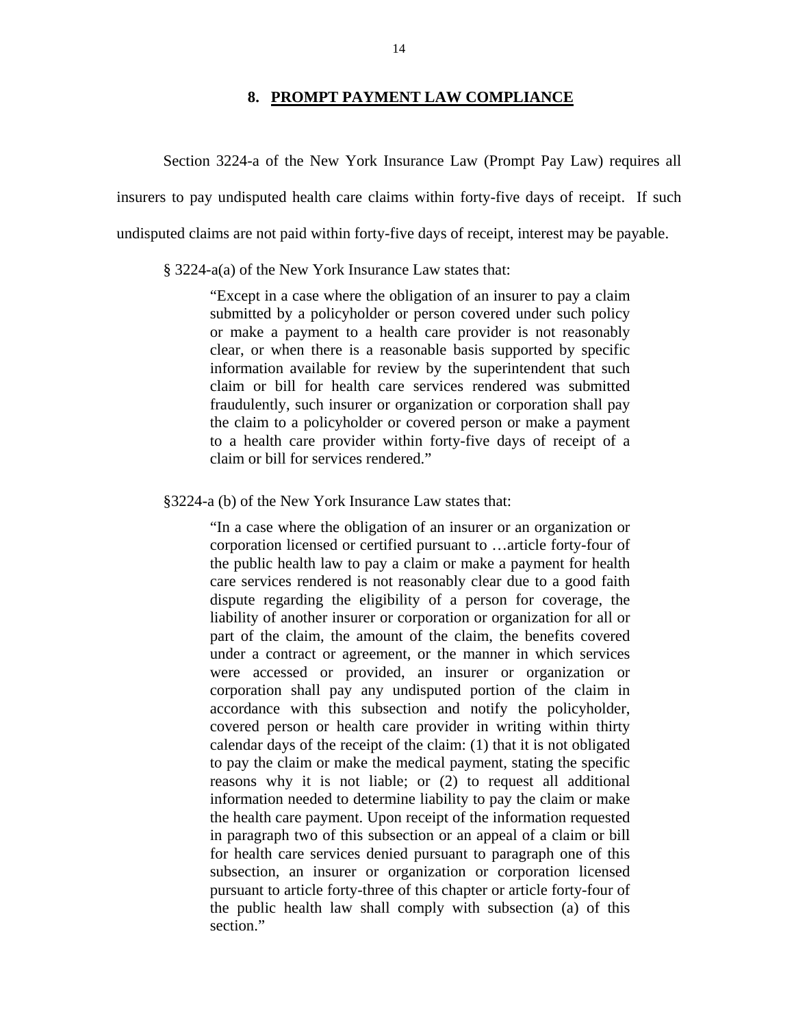### **8. PROMPT PAYMENT LAW COMPLIANCE**

<span id="page-15-0"></span>Section 3224-a of the New York Insurance Law (Prompt Pay Law) requires all insurers to pay undisputed health care claims within forty-five days of receipt. If such undisputed claims are not paid within forty-five days of receipt, interest may be payable.

§ 3224-a(a) of the New York Insurance Law states that:

"Except in a case where the obligation of an insurer to pay a claim submitted by a policyholder or person covered under such policy or make a payment to a health care provider is not reasonably clear, or when there is a reasonable basis supported by specific information available for review by the superintendent that such claim or bill for health care services rendered was submitted fraudulently, such insurer or organization or corporation shall pay the claim to a policyholder or covered person or make a payment to a health care provider within forty-five days of receipt of a claim or bill for services rendered."

§3224-a (b) of the New York Insurance Law states that:

"In a case where the obligation of an insurer or an organization or corporation licensed or certified pursuant to …article forty-four of the public health law to pay a claim or make a payment for health care services rendered is not reasonably clear due to a good faith dispute regarding the eligibility of a person for coverage, the liability of another insurer or corporation or organization for all or part of the claim, the amount of the claim, the benefits covered under a contract or agreement, or the manner in which services were accessed or provided, an insurer or organization or corporation shall pay any undisputed portion of the claim in accordance with this subsection and notify the policyholder, covered person or health care provider in writing within thirty calendar days of the receipt of the claim: (1) that it is not obligated to pay the claim or make the medical payment, stating the specific reasons why it is not liable; or (2) to request all additional information needed to determine liability to pay the claim or make the health care payment. Upon receipt of the information requested in paragraph two of this subsection or an appeal of a claim or bill for health care services denied pursuant to paragraph one of this subsection, an insurer or organization or corporation licensed pursuant to article forty-three of this chapter or article forty-four of the public health law shall comply with subsection (a) of this section."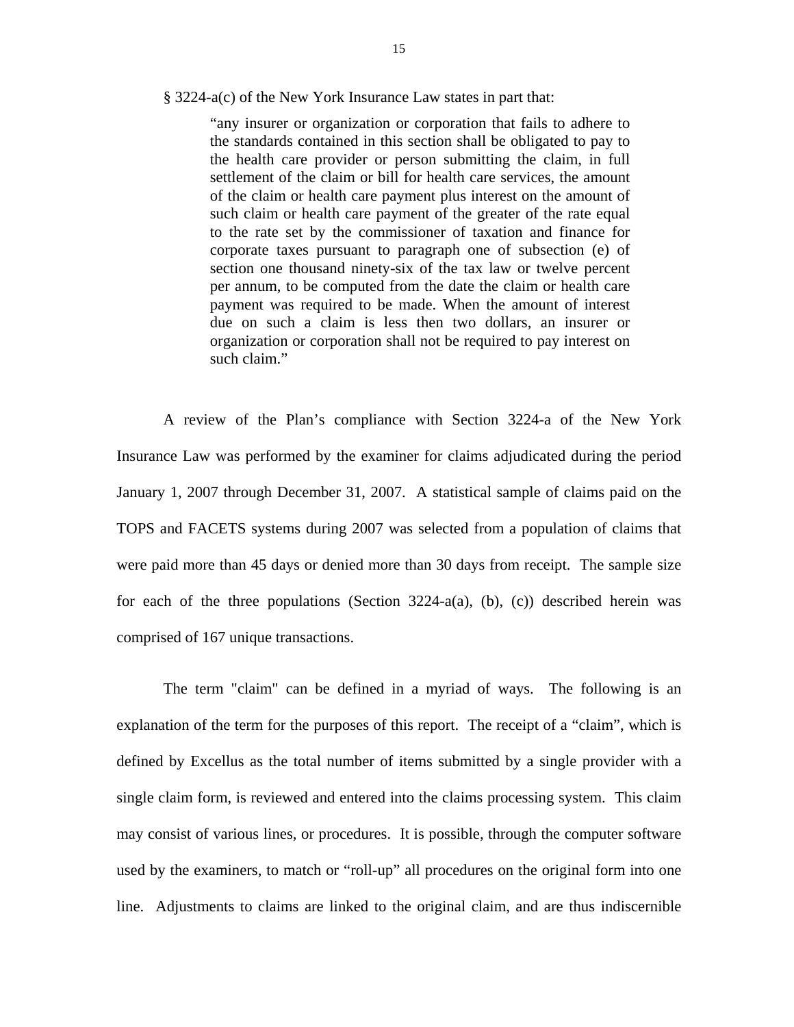#### § 3224-a(c) of the New York Insurance Law states in part that:

"any insurer or organization or corporation that fails to adhere to the standards contained in this section shall be obligated to pay to the health care provider or person submitting the claim, in full settlement of the claim or bill for health care services, the amount of the claim or health care payment plus interest on the amount of such claim or health care payment of the greater of the rate equal to the rate set by the commissioner of taxation and finance for corporate taxes pursuant to paragraph one of subsection (e) of section one thousand ninety-six of the tax law or twelve percent per annum, to be computed from the date the claim or health care payment was required to be made. When the amount of interest due on such a claim is less then two dollars, an insurer or organization or corporation shall not be required to pay interest on such claim."

A review of the Plan's compliance with Section 3224-a of the New York Insurance Law was performed by the examiner for claims adjudicated during the period January 1, 2007 through December 31, 2007. A statistical sample of claims paid on the TOPS and FACETS systems during 2007 was selected from a population of claims that were paid more than 45 days or denied more than 30 days from receipt. The sample size for each of the three populations (Section  $3224-a(a)$ , (b), (c)) described herein was comprised of 167 unique transactions.

The term "claim" can be defined in a myriad of ways. The following is an explanation of the term for the purposes of this report. The receipt of a "claim", which is defined by Excellus as the total number of items submitted by a single provider with a single claim form, is reviewed and entered into the claims processing system. This claim may consist of various lines, or procedures. It is possible, through the computer software used by the examiners, to match or "roll-up" all procedures on the original form into one line. Adjustments to claims are linked to the original claim, and are thus indiscernible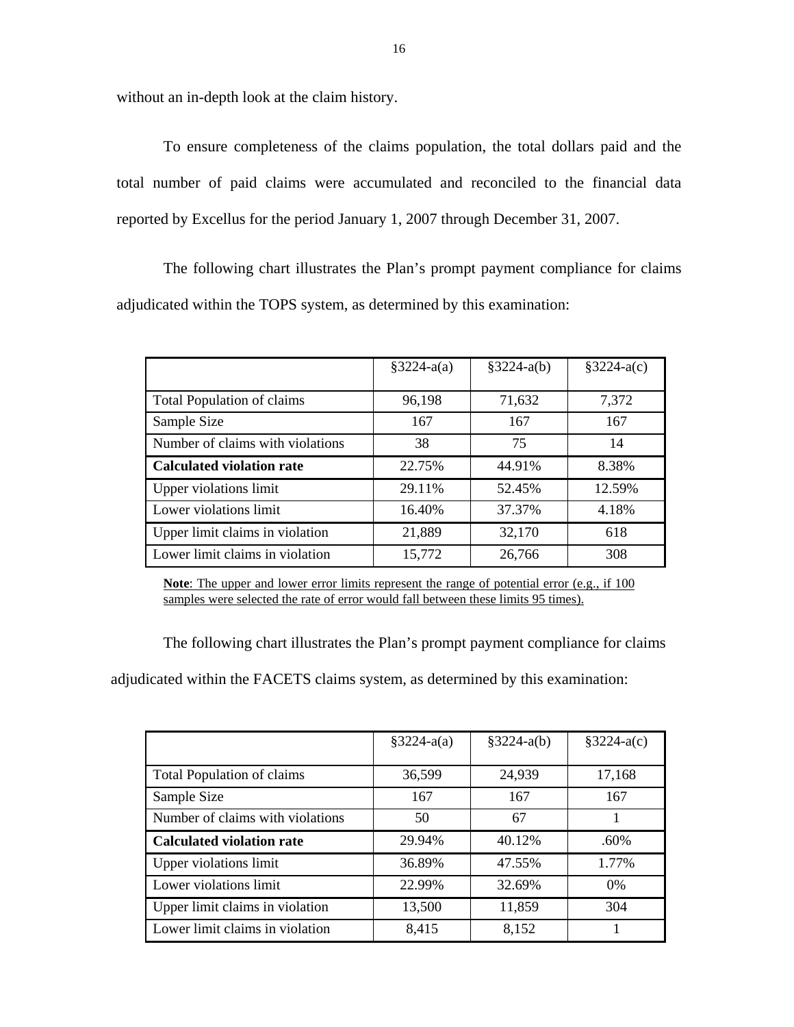without an in-depth look at the claim history.

To ensure completeness of the claims population, the total dollars paid and the total number of paid claims were accumulated and reconciled to the financial data reported by Excellus for the period January 1, 2007 through December 31, 2007.

The following chart illustrates the Plan's prompt payment compliance for claims adjudicated within the TOPS system, as determined by this examination:

|                                   | $§3224-a(a)$ | $§3224-a(b)$ | $§3224-a(c)$ |
|-----------------------------------|--------------|--------------|--------------|
|                                   |              |              |              |
| <b>Total Population of claims</b> | 96,198       | 71,632       | 7,372        |
| Sample Size                       | 167          | 167          | 167          |
| Number of claims with violations  | 38           | 75           | 14           |
| <b>Calculated violation rate</b>  | 22.75%       | 44.91%       | 8.38%        |
| Upper violations limit            | 29.11%       | 52.45%       | 12.59%       |
| Lower violations limit            | 16.40%       | 37.37%       | 4.18%        |
| Upper limit claims in violation   | 21,889       | 32,170       | 618          |
| Lower limit claims in violation   | 15,772       | 26,766       | 308          |

Note: The upper and lower error limits represent the range of potential error (e.g., if 100) samples were selected the rate of error would fall between these limits 95 times).

The following chart illustrates the Plan's prompt payment compliance for claims

adjudicated within the FACETS claims system, as determined by this examination:

|                                   | $§3224-a(a)$ | $§3224-a(b)$ | $§3224-a(c)$ |
|-----------------------------------|--------------|--------------|--------------|
|                                   |              |              |              |
| <b>Total Population of claims</b> | 36,599       | 24,939       | 17,168       |
| Sample Size                       | 167          | 167          | 167          |
| Number of claims with violations  | 50           | 67           |              |
| <b>Calculated violation rate</b>  | 29.94%       | 40.12%       | .60%         |
| Upper violations limit            | 36.89%       | 47.55%       | 1.77%        |
| Lower violations limit            | 22.99%       | 32.69%       | 0%           |
| Upper limit claims in violation   | 13,500       | 11,859       | 304          |
| Lower limit claims in violation   | 8,415        | 8,152        |              |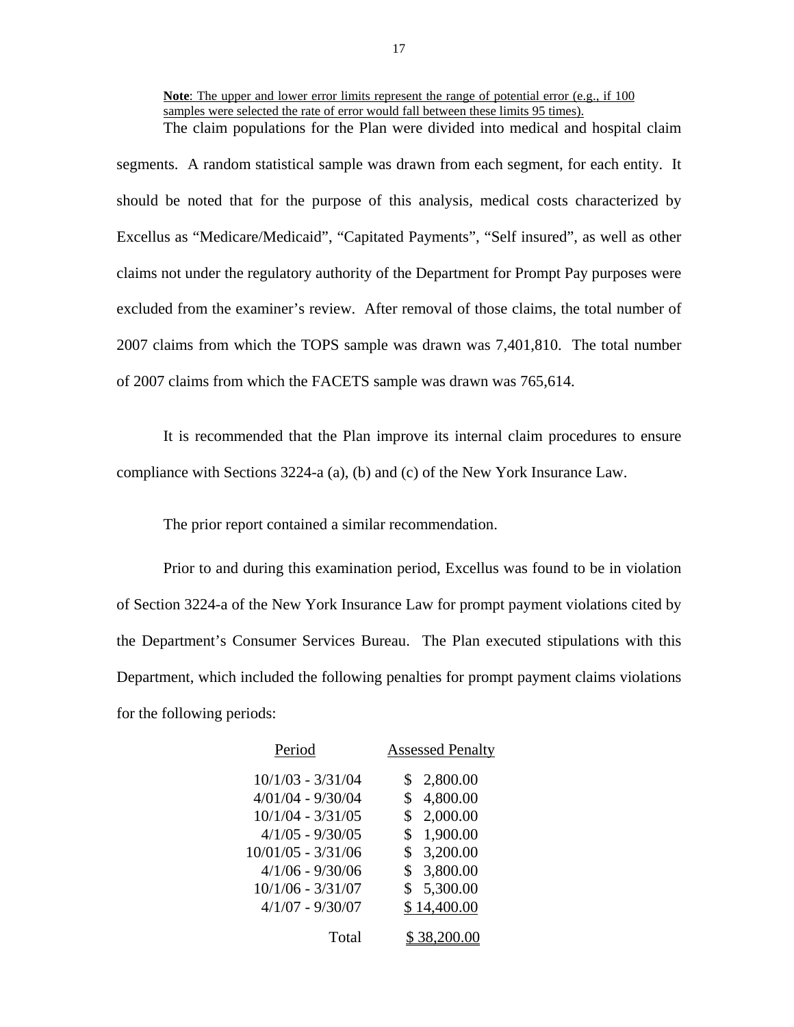**Note**: The upper and lower error limits represent the range of potential error (e.g., if 100 samples were selected the rate of error would fall between these limits 95 times). The claim populations for the Plan were divided into medical and hospital claim

segments. A random statistical sample was drawn from each segment, for each entity. It should be noted that for the purpose of this analysis, medical costs characterized by Excellus as "Medicare/Medicaid", "Capitated Payments", "Self insured", as well as other claims not under the regulatory authority of the Department for Prompt Pay purposes were excluded from the examiner's review. After removal of those claims, the total number of 2007 claims from which the TOPS sample was drawn was 7,401,810. The total number of 2007 claims from which the FACETS sample was drawn was 765,614.

It is recommended that the Plan improve its internal claim procedures to ensure compliance with Sections 3224-a (a), (b) and (c) of the New York Insurance Law.

The prior report contained a similar recommendation.

Prior to and during this examination period, Excellus was found to be in violation of Section 3224-a of the New York Insurance Law for prompt payment violations cited by the Department's Consumer Services Bureau. The Plan executed stipulations with this Department, which included the following penalties for prompt payment claims violations for the following periods:

| Period               | <b>Assessed Penalty</b> |
|----------------------|-------------------------|
| $10/1/03 - 3/31/04$  | 2,800.00                |
| $4/01/04 - 9/30/04$  | 4,800.00<br>\$          |
| $10/1/04 - 3/31/05$  | 2,000.00<br>\$          |
| $4/1/05 - 9/30/05$   | 1,900.00<br>\$          |
| $10/01/05 - 3/31/06$ | 3,200.00<br>\$          |
| $4/1/06 - 9/30/06$   | 3,800.00<br>S.          |
| $10/1/06 - 3/31/07$  | 5,300.00<br>\$          |
| $4/1/07 - 9/30/07$   | \$14,400.00             |
| Total                | \$ 38,200.00            |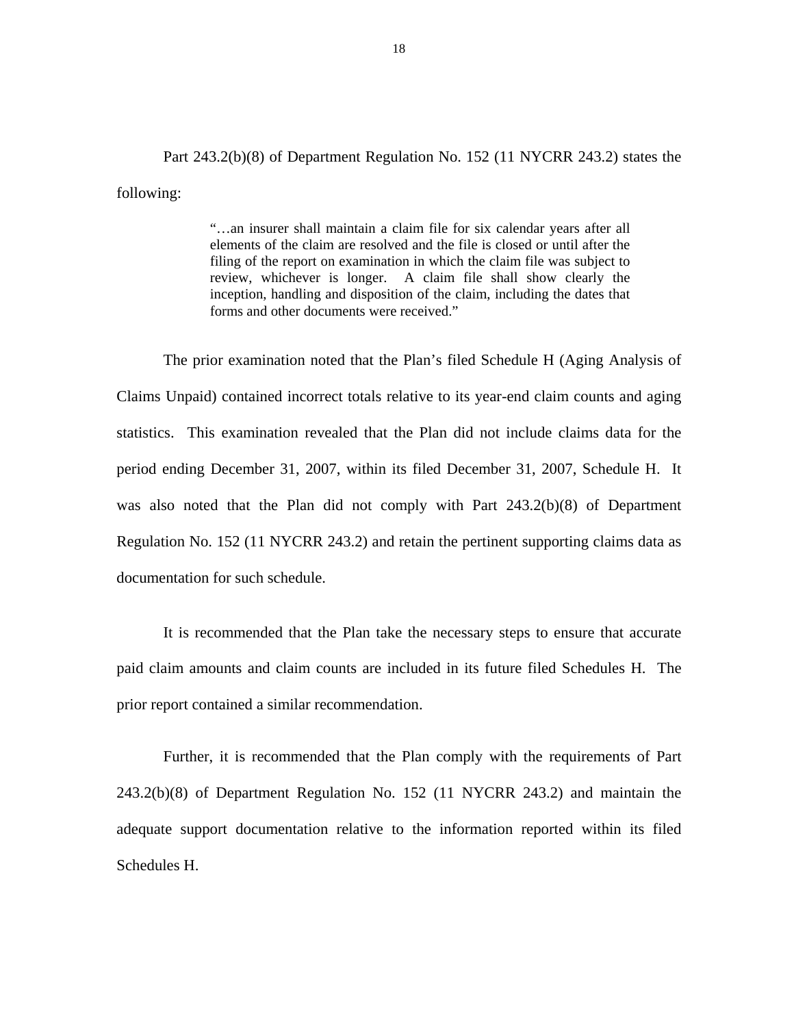Part 243.2(b)(8) of Department Regulation No. 152 (11 NYCRR 243.2) states the following:

> "…an insurer shall maintain a claim file for six calendar years after all elements of the claim are resolved and the file is closed or until after the filing of the report on examination in which the claim file was subject to review, whichever is longer. A claim file shall show clearly the inception, handling and disposition of the claim, including the dates that forms and other documents were received."

The prior examination noted that the Plan's filed Schedule H (Aging Analysis of Claims Unpaid) contained incorrect totals relative to its year-end claim counts and aging statistics. This examination revealed that the Plan did not include claims data for the period ending December 31, 2007, within its filed December 31, 2007, Schedule H. It was also noted that the Plan did not comply with Part 243.2(b)(8) of Department Regulation No. 152 (11 NYCRR 243.2) and retain the pertinent supporting claims data as documentation for such schedule.

It is recommended that the Plan take the necessary steps to ensure that accurate paid claim amounts and claim counts are included in its future filed Schedules H. The prior report contained a similar recommendation.

Further, it is recommended that the Plan comply with the requirements of Part 243.2(b)(8) of Department Regulation No. 152 (11 NYCRR 243.2) and maintain the adequate support documentation relative to the information reported within its filed Schedules H.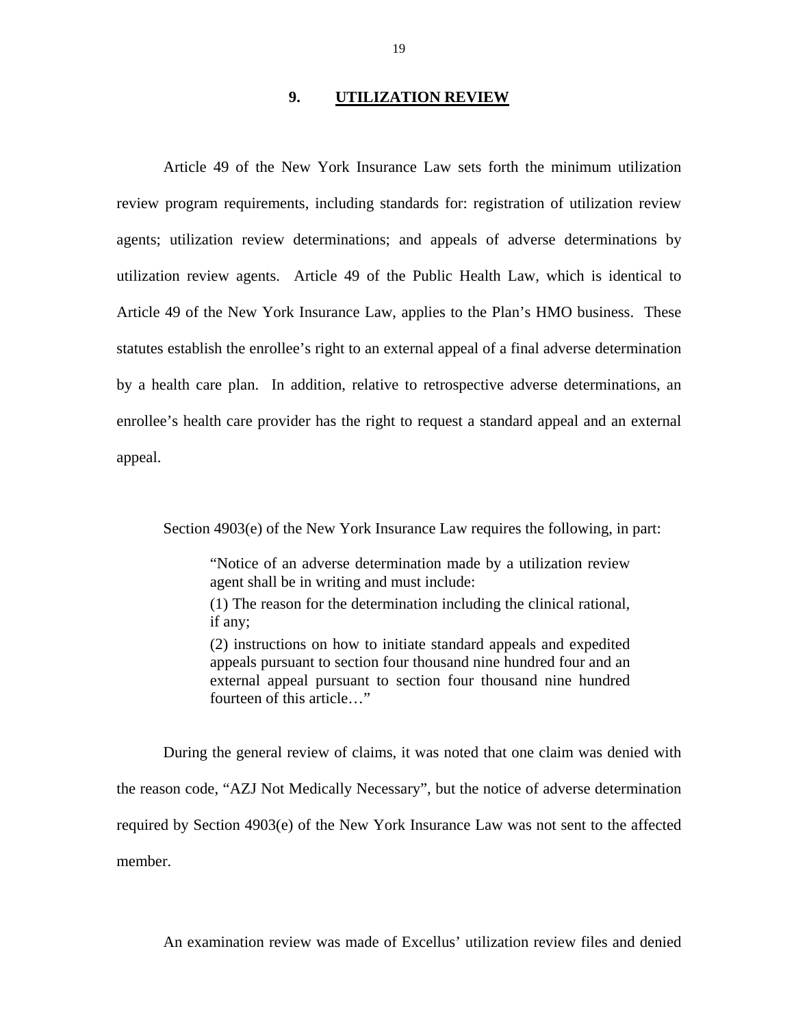#### **9. UTILIZATION REVIEW**

<span id="page-20-0"></span>Article 49 of the New York Insurance Law sets forth the minimum utilization review program requirements, including standards for: registration of utilization review agents; utilization review determinations; and appeals of adverse determinations by utilization review agents. Article 49 of the Public Health Law, which is identical to Article 49 of the New York Insurance Law, applies to the Plan's HMO business. These statutes establish the enrollee's right to an external appeal of a final adverse determination by a health care plan. In addition, relative to retrospective adverse determinations, an enrollee's health care provider has the right to request a standard appeal and an external appeal.

Section 4903(e) of the New York Insurance Law requires the following, in part:

"Notice of an adverse determination made by a utilization review agent shall be in writing and must include:

(1) The reason for the determination including the clinical rational, if any;

(2) instructions on how to initiate standard appeals and expedited appeals pursuant to section four thousand nine hundred four and an external appeal pursuant to section four thousand nine hundred fourteen of this article…"

member. During the general review of claims, it was noted that one claim was denied with the reason code, "AZJ Not Medically Necessary", but the notice of adverse determination required by Section 4903(e) of the New York Insurance Law was not sent to the affected

An examination review was made of Excellus' utilization review files and denied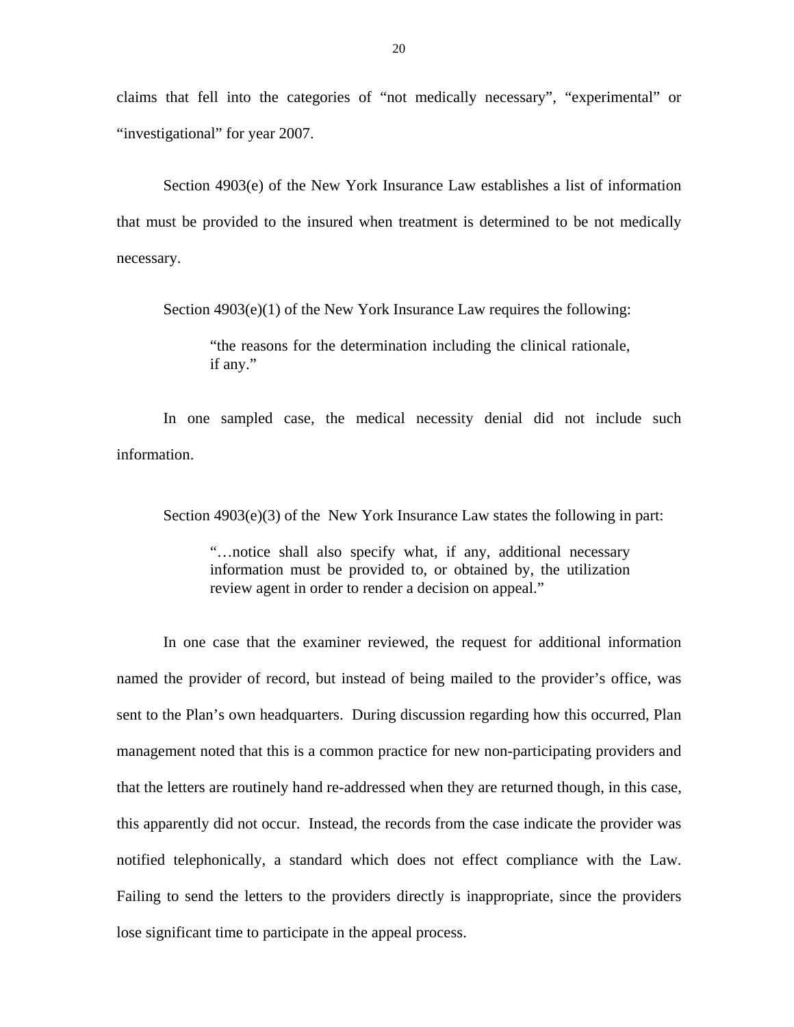claims that fell into the categories of "not medically necessary", "experimental" or "investigational" for year 2007.

Section 4903(e) of the New York Insurance Law establishes a list of information that must be provided to the insured when treatment is determined to be not medically necessary.

Section 4903(e)(1) of the New York Insurance Law requires the following:

"the reasons for the determination including the clinical rationale, if any."

In one sampled case, the medical necessity denial did not include such information.

Section  $4903(e)(3)$  of the New York Insurance Law states the following in part:

"…notice shall also specify what, if any, additional necessary information must be provided to, or obtained by, the utilization review agent in order to render a decision on appeal."

In one case that the examiner reviewed, the request for additional information named the provider of record, but instead of being mailed to the provider's office, was sent to the Plan's own headquarters. During discussion regarding how this occurred, Plan management noted that this is a common practice for new non-participating providers and that the letters are routinely hand re-addressed when they are returned though, in this case, this apparently did not occur. Instead, the records from the case indicate the provider was notified telephonically, a standard which does not effect compliance with the Law. Failing to send the letters to the providers directly is inappropriate, since the providers lose significant time to participate in the appeal process.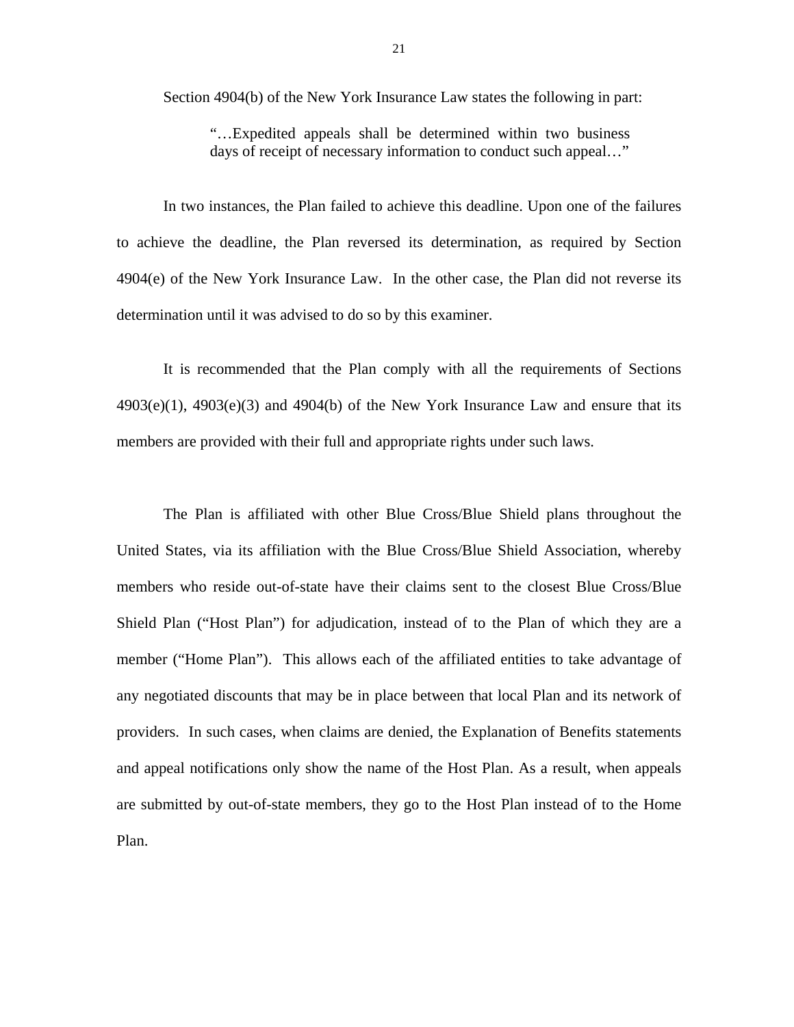Section 4904(b) of the New York Insurance Law states the following in part:

"…Expedited appeals shall be determined within two business days of receipt of necessary information to conduct such appeal…"

In two instances, the Plan failed to achieve this deadline. Upon one of the failures to achieve the deadline, the Plan reversed its determination, as required by Section 4904(e) of the New York Insurance Law. In the other case, the Plan did not reverse its determination until it was advised to do so by this examiner.

It is recommended that the Plan comply with all the requirements of Sections  $4903(e)(1)$ ,  $4903(e)(3)$  and  $4904(b)$  of the New York Insurance Law and ensure that its members are provided with their full and appropriate rights under such laws.

The Plan is affiliated with other Blue Cross/Blue Shield plans throughout the United States, via its affiliation with the Blue Cross/Blue Shield Association, whereby members who reside out-of-state have their claims sent to the closest Blue Cross/Blue Shield Plan ("Host Plan") for adjudication, instead of to the Plan of which they are a member ("Home Plan"). This allows each of the affiliated entities to take advantage of any negotiated discounts that may be in place between that local Plan and its network of providers. In such cases, when claims are denied, the Explanation of Benefits statements and appeal notifications only show the name of the Host Plan. As a result, when appeals are submitted by out-of-state members, they go to the Host Plan instead of to the Home Plan.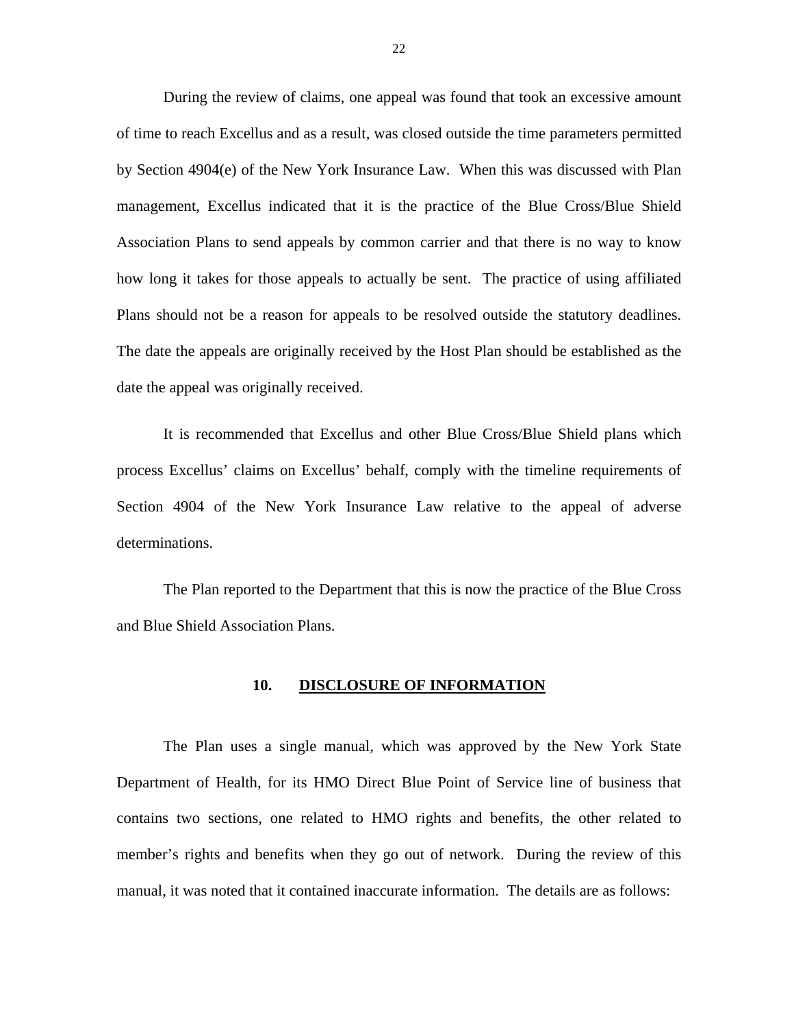<span id="page-23-0"></span>During the review of claims, one appeal was found that took an excessive amount of time to reach Excellus and as a result, was closed outside the time parameters permitted by Section 4904(e) of the New York Insurance Law. When this was discussed with Plan management, Excellus indicated that it is the practice of the Blue Cross/Blue Shield Association Plans to send appeals by common carrier and that there is no way to know how long it takes for those appeals to actually be sent. The practice of using affiliated Plans should not be a reason for appeals to be resolved outside the statutory deadlines. The date the appeals are originally received by the Host Plan should be established as the date the appeal was originally received.

It is recommended that Excellus and other Blue Cross/Blue Shield plans which process Excellus' claims on Excellus' behalf, comply with the timeline requirements of Section 4904 of the New York Insurance Law relative to the appeal of adverse determinations.

The Plan reported to the Department that this is now the practice of the Blue Cross and Blue Shield Association Plans.

#### **10. DISCLOSURE OF INFORMATION**

The Plan uses a single manual, which was approved by the New York State Department of Health, for its HMO Direct Blue Point of Service line of business that contains two sections, one related to HMO rights and benefits, the other related to member's rights and benefits when they go out of network. During the review of this manual, it was noted that it contained inaccurate information. The details are as follows: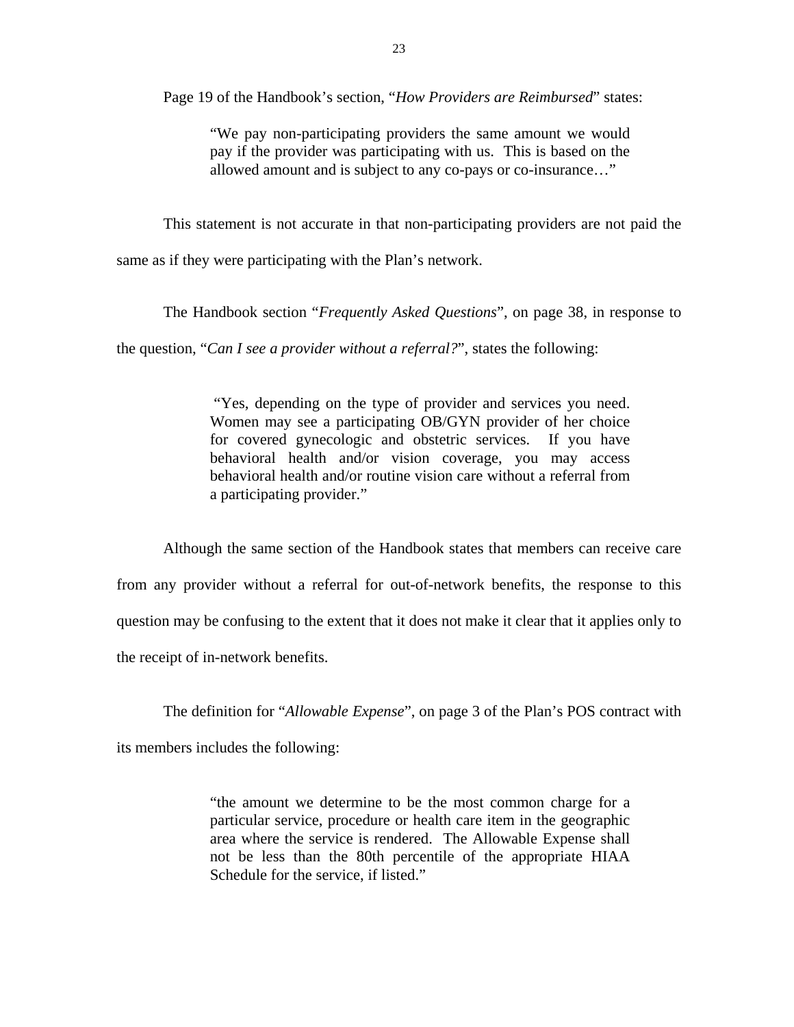Page 19 of the Handbook's section, "*How Providers are Reimbursed*" states:

"We pay non-participating providers the same amount we would pay if the provider was participating with us. This is based on the allowed amount and is subject to any co-pays or co-insurance…"

This statement is not accurate in that non-participating providers are not paid the

same as if they were participating with the Plan's network.

The Handbook section "*Frequently Asked Questions*", on page 38, in response to

the question, "*Can I see a provider without a referral?*", states the following:

"Yes, depending on the type of provider and services you need. Women may see a participating OB/GYN provider of her choice for covered gynecologic and obstetric services. If you have behavioral health and/or vision coverage, you may access behavioral health and/or routine vision care without a referral from a participating provider."

Although the same section of the Handbook states that members can receive care from any provider without a referral for out-of-network benefits, the response to this question may be confusing to the extent that it does not make it clear that it applies only to the receipt of in-network benefits.

The definition for "*Allowable Expense*", on page 3 of the Plan's POS contract with

its members includes the following:

"the amount we determine to be the most common charge for a particular service, procedure or health care item in the geographic area where the service is rendered. The Allowable Expense shall not be less than the 80th percentile of the appropriate HIAA Schedule for the service, if listed."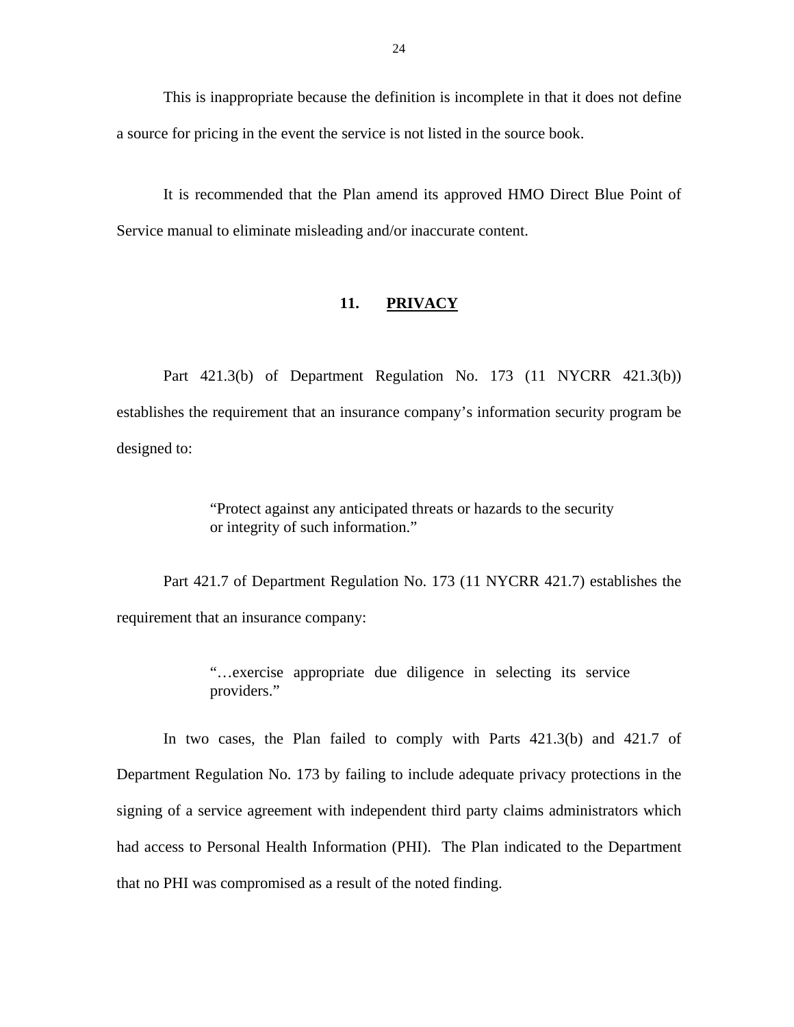<span id="page-25-0"></span>This is inappropriate because the definition is incomplete in that it does not define a source for pricing in the event the service is not listed in the source book.

It is recommended that the Plan amend its approved HMO Direct Blue Point of Service manual to eliminate misleading and/or inaccurate content.

#### 11. **PRIVACY**

Part 421.3(b) of Department Regulation No. 173 (11 NYCRR 421.3(b)) establishes the requirement that an insurance company's information security program be designed to:

> "Protect against any anticipated threats or hazards to the security or integrity of such information."

Part 421.7 of Department Regulation No. 173 (11 NYCRR 421.7) establishes the requirement that an insurance company:

> "…exercise appropriate due diligence in selecting its service providers."

In two cases, the Plan failed to comply with Parts 421.3(b) and 421.7 of Department Regulation No. 173 by failing to include adequate privacy protections in the signing of a service agreement with independent third party claims administrators which had access to Personal Health Information (PHI). The Plan indicated to the Department that no PHI was compromised as a result of the noted finding.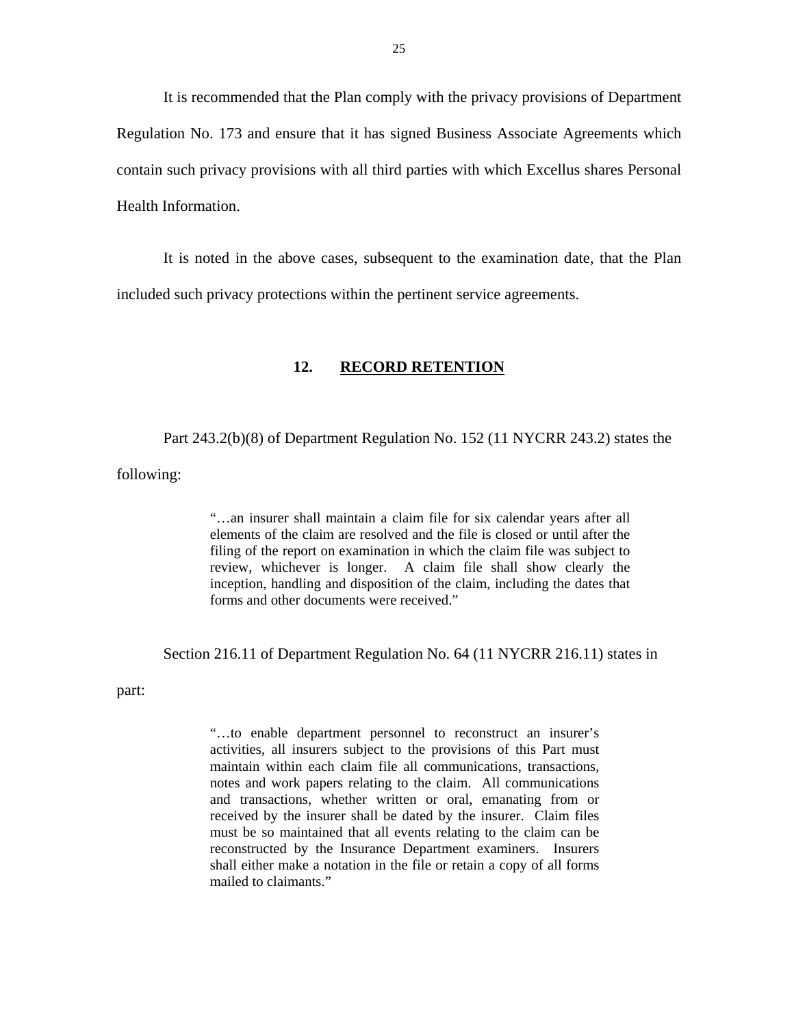<span id="page-26-0"></span>It is recommended that the Plan comply with the privacy provisions of Department Regulation No. 173 and ensure that it has signed Business Associate Agreements which contain such privacy provisions with all third parties with which Excellus shares Personal Health Information.

It is noted in the above cases, subsequent to the examination date, that the Plan included such privacy protections within the pertinent service agreements.

#### **12. RECORD RETENTION**

Part 243.2(b)(8) of Department Regulation No. 152 (11 NYCRR 243.2) states the

following:

"…an insurer shall maintain a claim file for six calendar years after all elements of the claim are resolved and the file is closed or until after the filing of the report on examination in which the claim file was subject to review, whichever is longer. A claim file shall show clearly the inception, handling and disposition of the claim, including the dates that forms and other documents were received."

Section 216.11 of Department Regulation No. 64 (11 NYCRR 216.11) states in

part:

 notes and work papers relating to the claim. All communications received by the insurer shall be dated by the insurer. Claim files "…to enable department personnel to reconstruct an insurer's activities, all insurers subject to the provisions of this Part must maintain within each claim file all communications, transactions, and transactions, whether written or oral, emanating from or must be so maintained that all events relating to the claim can be reconstructed by the Insurance Department examiners. Insurers shall either make a notation in the file or retain a copy of all forms mailed to claimants."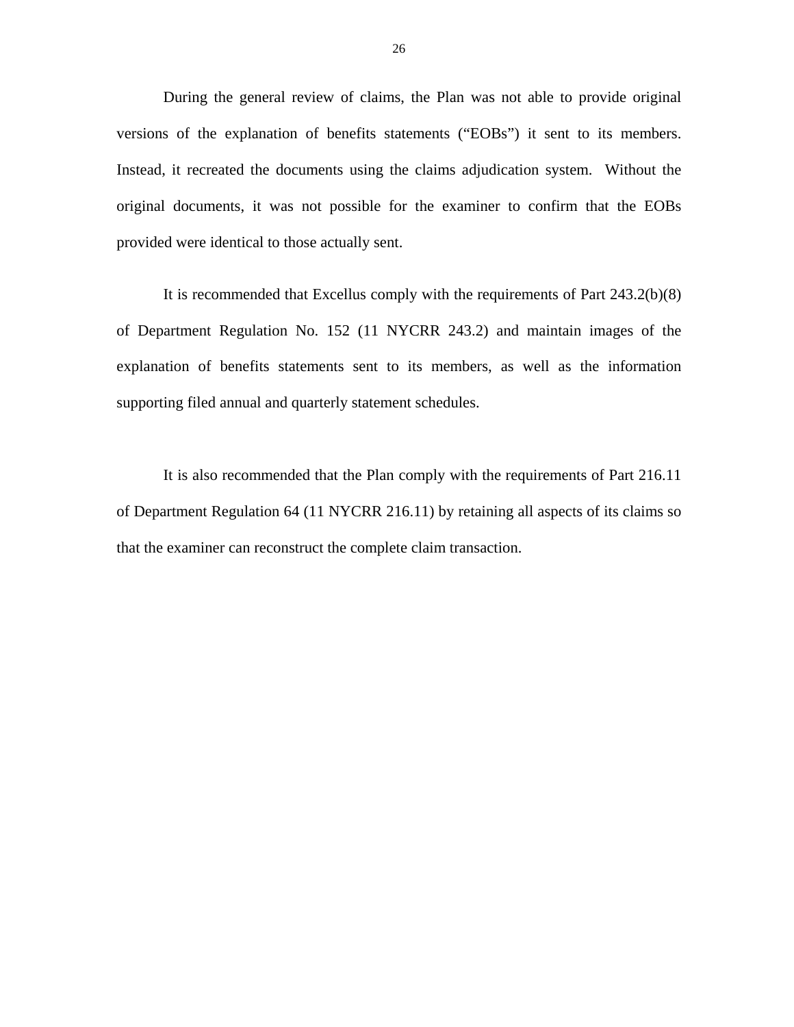During the general review of claims, the Plan was not able to provide original versions of the explanation of benefits statements ("EOBs") it sent to its members. Instead, it recreated the documents using the claims adjudication system. Without the original documents, it was not possible for the examiner to confirm that the EOBs provided were identical to those actually sent.

It is recommended that Excellus comply with the requirements of Part 243.2(b)(8) of Department Regulation No. 152 (11 NYCRR 243.2) and maintain images of the explanation of benefits statements sent to its members, as well as the information supporting filed annual and quarterly statement schedules.

It is also recommended that the Plan comply with the requirements of Part 216.11 of Department Regulation 64 (11 NYCRR 216.11) by retaining all aspects of its claims so that the examiner can reconstruct the complete claim transaction.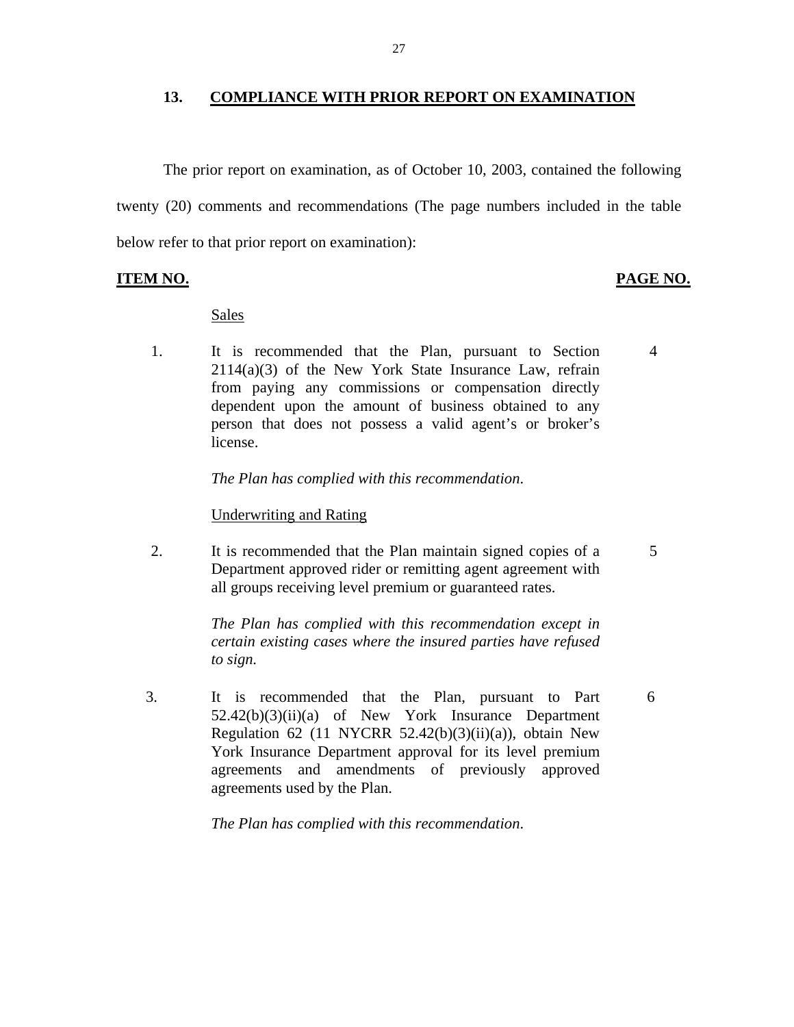#### **13. COMPLIANCE WITH PRIOR REPORT ON EXAMINATION**

The prior report on examination, as of October 10, 2003, contained the following twenty (20) comments and recommendations (The page numbers included in the table below refer to that prior report on examination):

#### **ITEM NO. PAGE NO.**

5

6

#### Sales

1. It is recommended that the Plan, pursuant to Section  $2114(a)(3)$  of the New York State Insurance Law, refrain from paying any commissions or compensation directly dependent upon the amount of business obtained to any person that does not possess a valid agent's or broker's license. 4

*The Plan has complied with this recommendation*.

#### Underwriting and Rating

2. It is recommended that the Plan maintain signed copies of a Department approved rider or remitting agent agreement with all groups receiving level premium or guaranteed rates.

> *The Plan has complied with this recommendation except in certain existing cases where the insured parties have refused to sign.*

3. It is recommended that the Plan, pursuant to Part 52.42(b)(3)(ii)(a) of New York Insurance Department Regulation 62 (11 NYCRR 52.42 $(b)(3)(ii)(a)$ ), obtain New York Insurance Department approval for its level premium agreements and amendments of previously approved agreements used by the Plan.

*The Plan has complied with this recommendation*.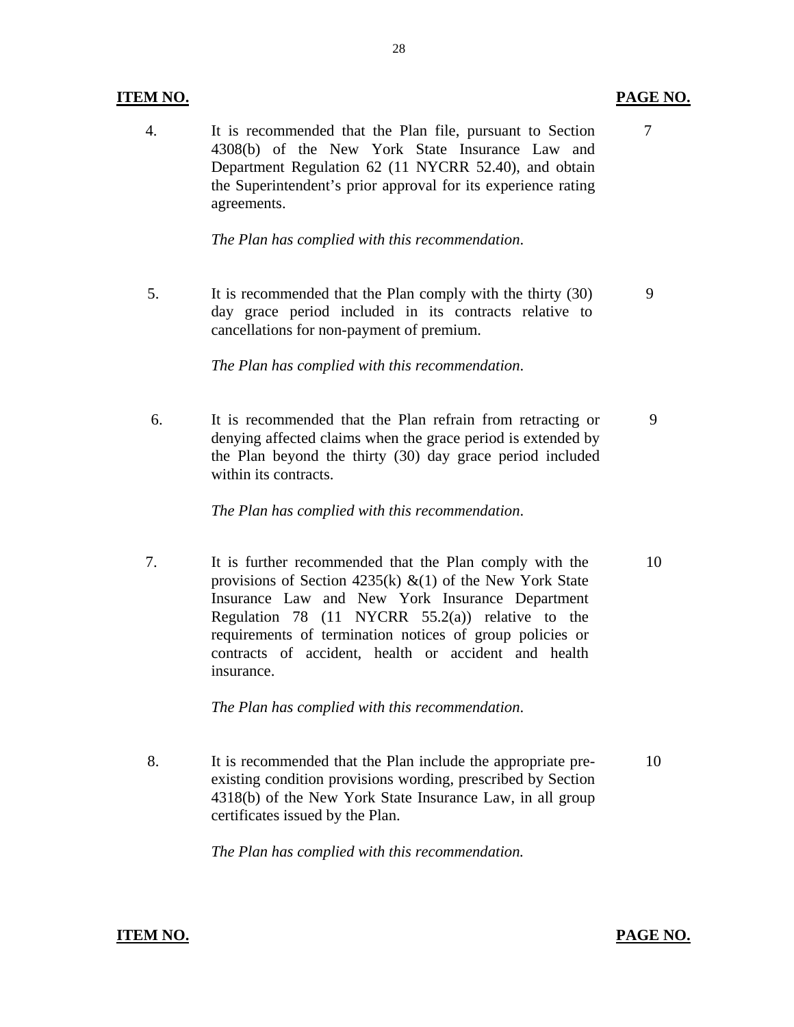### **ITEM NO.**

4. It is recommended that the Plan file, pursuant to Section 4308(b) of the New York State Insurance Law and Department Regulation 62 (11 NYCRR 52.40), and obtain the Superintendent's prior approval for its experience rating agreements.

*The Plan has complied with this recommendation*.

cancellations for non-payment of premium. 5. It is recommended that the Plan comply with the thirty (30) day grace period included in its contracts relative to It is recommended that the Plan comply with the thirty (30) 9<br>day grace period included in its contracts relative to<br>cancellations for non-payment of premium.

*The Plan has complied with this recommendation*.

6. It is recommended that the Plan refrain from retracting or denying affected claims when the grace period is extended by the Plan beyond the thirty (30) day grace period included within its contracts. 9

*The Plan has complied with this recommendation*.

7. It is further recommended that the Plan comply with the provisions of Section 4235(k)  $\&(1)$  of the New York State Insurance Law and New York Insurance Department Regulation 78 (11 NYCRR  $55.2(a)$ ) relative to the requirements of termination notices of group policies or contracts of accident, health or accident and health insurance. 10

*The Plan has complied with this recommendation*.

8. It is recommended that the Plan include the appropriate preexisting condition provisions wording, prescribed by Section 4318(b) of the New York State Insurance Law, in all group certificates issued by the Plan. 10

*The Plan has complied with this recommendation.* 

# **ITEM NO.**

7

**PAGE NO.**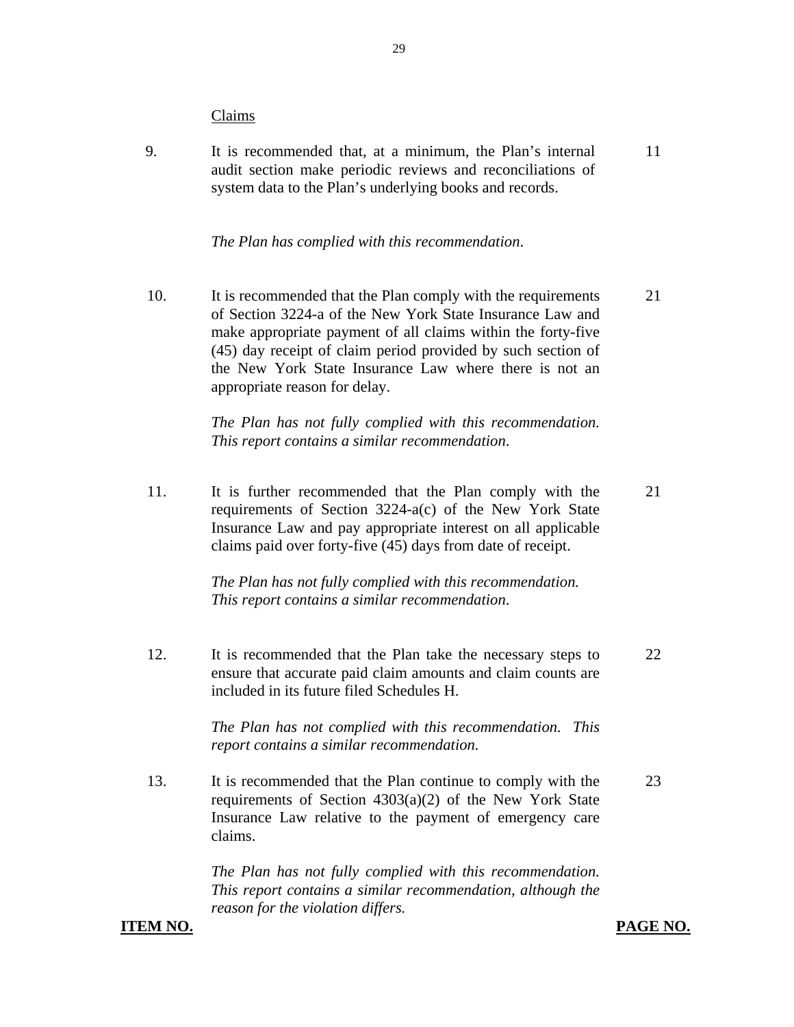#### Claims

9. It is recommended that, at a minimum, the Plan's internal 11 audit section make periodic reviews and reconciliations of system data to the Plan's underlying books and records.

#### *The Plan has complied with this recommendation*.

10. It is recommended that the Plan comply with the requirements 21 of Section 3224-a of the New York State Insurance Law and make appropriate payment of all claims within the forty-five (45) day receipt of claim period provided by such section of the New York State Insurance Law where there is not an appropriate reason for delay.

> *The Plan has not fully complied with this recommendation. This report contains a similar recommendation*.

11. It is further recommended that the Plan comply with the 21 requirements of Section 3224-a(c) of the New York State Insurance Law and pay appropriate interest on all applicable claims paid over forty-five (45) days from date of receipt.

> *The Plan has not fully complied with this recommendation. This report contains a similar recommendation*.

12. It is recommended that the Plan take the necessary steps to 22 ensure that accurate paid claim amounts and claim counts are included in its future filed Schedules H.

> *The Plan has not complied with this recommendation. This report contains a similar recommendation.*

13. It is recommended that the Plan continue to comply with the 23 requirements of Section 4303(a)(2) of the New York State Insurance Law relative to the payment of emergency care claims.

> *The Plan has not fully complied with this recommendation. This report contains a similar recommendation, although the reason for the violation differs.*

#### **ITEM NO. PAGE NO. PAGE NO.**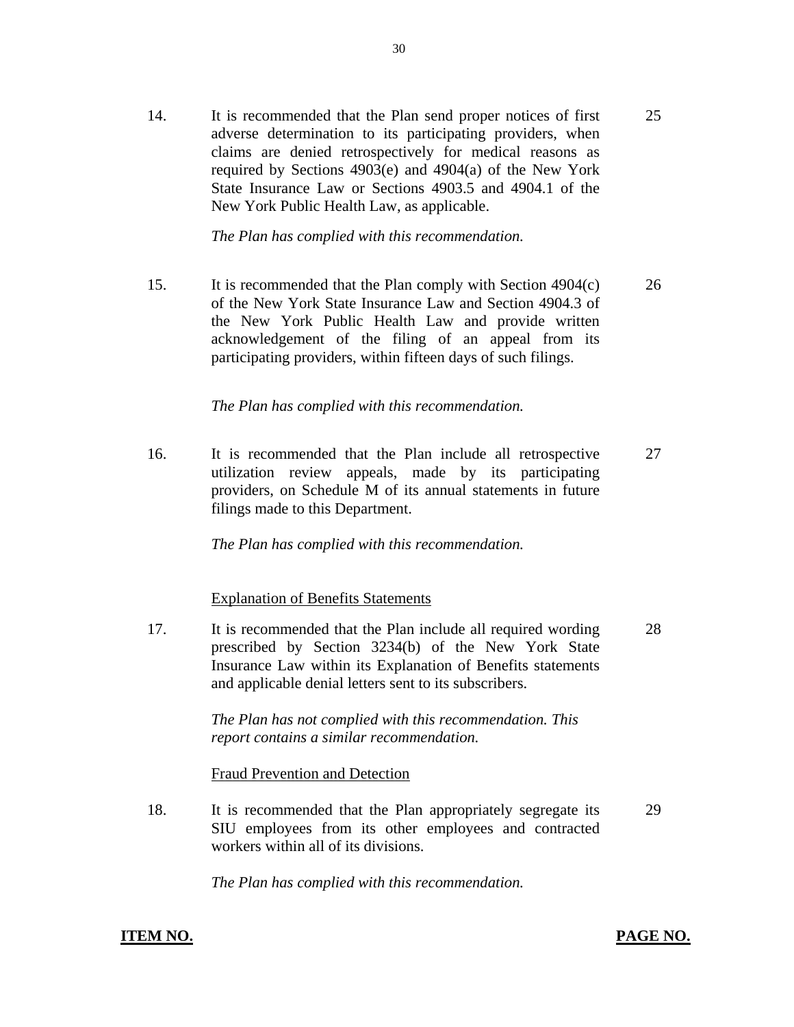14. It is recommended that the Plan send proper notices of first adverse determination to its participating providers, when claims are denied retrospectively for medical reasons as required by Sections 4903(e) and 4904(a) of the New York State Insurance Law or Sections 4903.5 and 4904.1 of the New York Public Health Law, as applicable. 25

*The Plan has complied with this recommendation.* 

15. It is recommended that the Plan comply with Section 4904(c) of the New York State Insurance Law and Section 4904.3 of the New York Public Health Law and provide written acknowledgement of the filing of an appeal from its participating providers, within fifteen days of such filings. 26

*The Plan has complied with this recommendation.* 

16. It is recommended that the Plan include all retrospective utilization review appeals, made by its participating providers, on Schedule M of its annual statements in future filings made to this Department. 27

*The Plan has complied with this recommendation.* 

Explanation of Benefits Statements

17. It is recommended that the Plan include all required wording prescribed by Section 3234(b) of the New York State Insurance Law within its Explanation of Benefits statements and applicable denial letters sent to its subscribers. 28

> *The Plan has not complied with this recommendation. This report contains a similar recommendation.*

Fraud Prevention and Detection

18. It is recommended that the Plan appropriately segregate its SIU employees from its other employees and contracted workers within all of its divisions. 29

*The Plan has complied with this recommendation.* 

## **ITEM NO. PAGE NO.**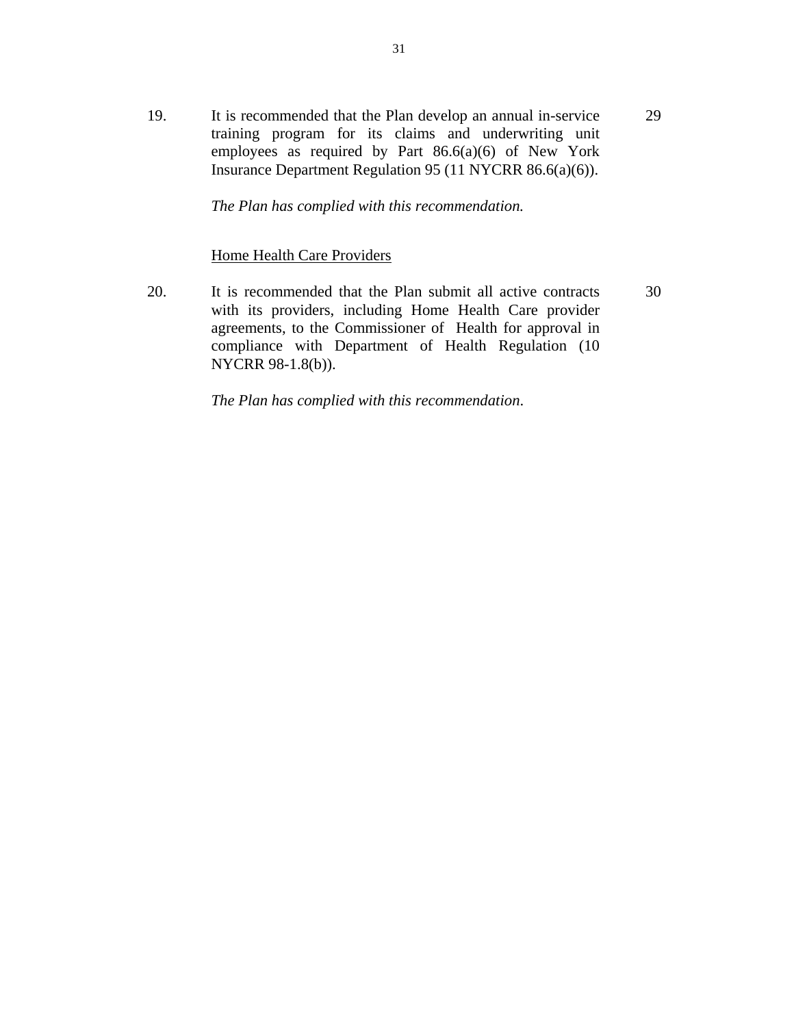19. It is recommended that the Plan develop an annual in-service training program for its claims and underwriting unit employees as required by Part  $86.6(a)(6)$  of New York Insurance Department Regulation 95 (11 NYCRR 86.6(a)(6)). 29

*The Plan has complied with this recommendation.* 

#### Home Health Care Providers

20. It is recommended that the Plan submit all active contracts with its providers, including Home Health Care provider agreements, to the Commissioner of Health for approval in compliance with Department of Health Regulation (10 NYCRR 98-1.8(b)). 30

*The Plan has complied with this recommendation*.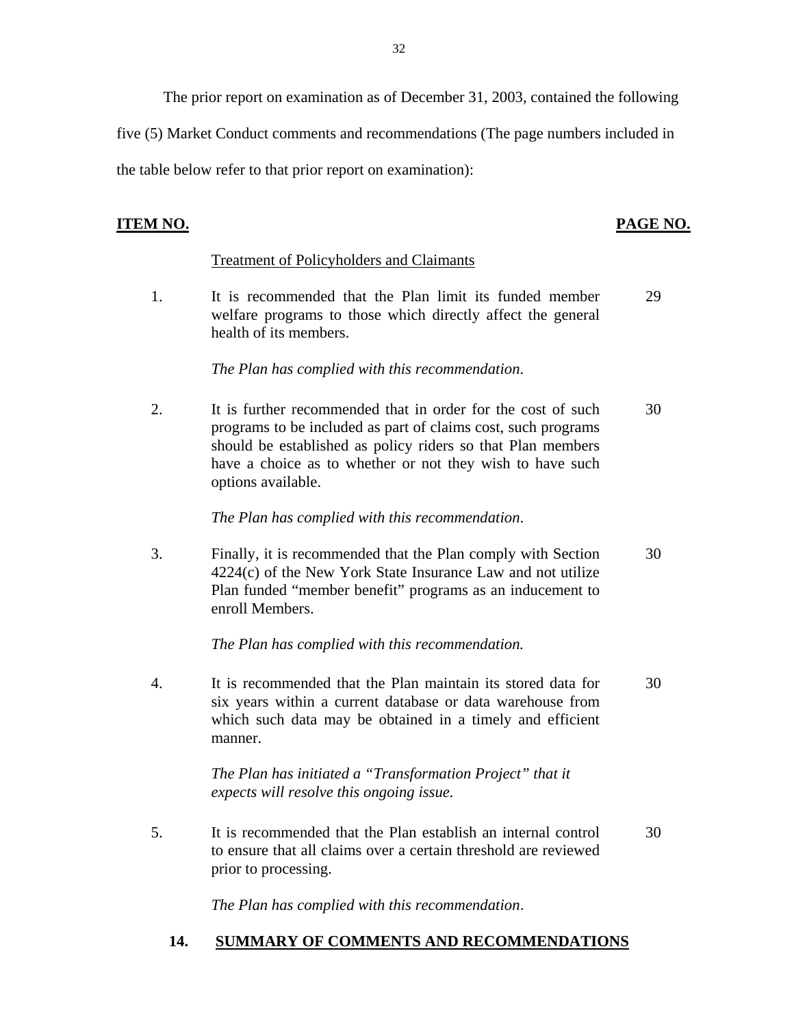The prior report on examination as of December 31, 2003, contained the following

five (5) Market Conduct comments and recommendations (The page numbers included in

the table below refer to that prior report on examination):

# **PAGE NO. PAGE NO.**

# **Treatment of Policyholders and Claimants**

1. It is recommended that the Plan limit its funded member 29 welfare programs to those which directly affect the general health of its members.

*The Plan has complied with this recommendation*.

2. It is further recommended that in order for the cost of such 30 programs to be included as part of claims cost, such programs should be established as policy riders so that Plan members have a choice as to whether or not they wish to have such options available.

*The Plan has complied with this recommendation*.

3. Finally, it is recommended that the Plan comply with Section 30 4224(c) of the New York State Insurance Law and not utilize Plan funded "member benefit" programs as an inducement to enroll Members.

*The Plan has complied with this recommendation.* 

4. It is recommended that the Plan maintain its stored data for 30 six years within a current database or data warehouse from which such data may be obtained in a timely and efficient manner.

> *The Plan has initiated a "Transformation Project" that it expects will resolve this ongoing issue.*

5. It is recommended that the Plan establish an internal control 30 to ensure that all claims over a certain threshold are reviewed prior to processing.

*The Plan has complied with this recommendation*.

# **14. SUMMARY OF COMMENTS AND RECOMMENDATIONS**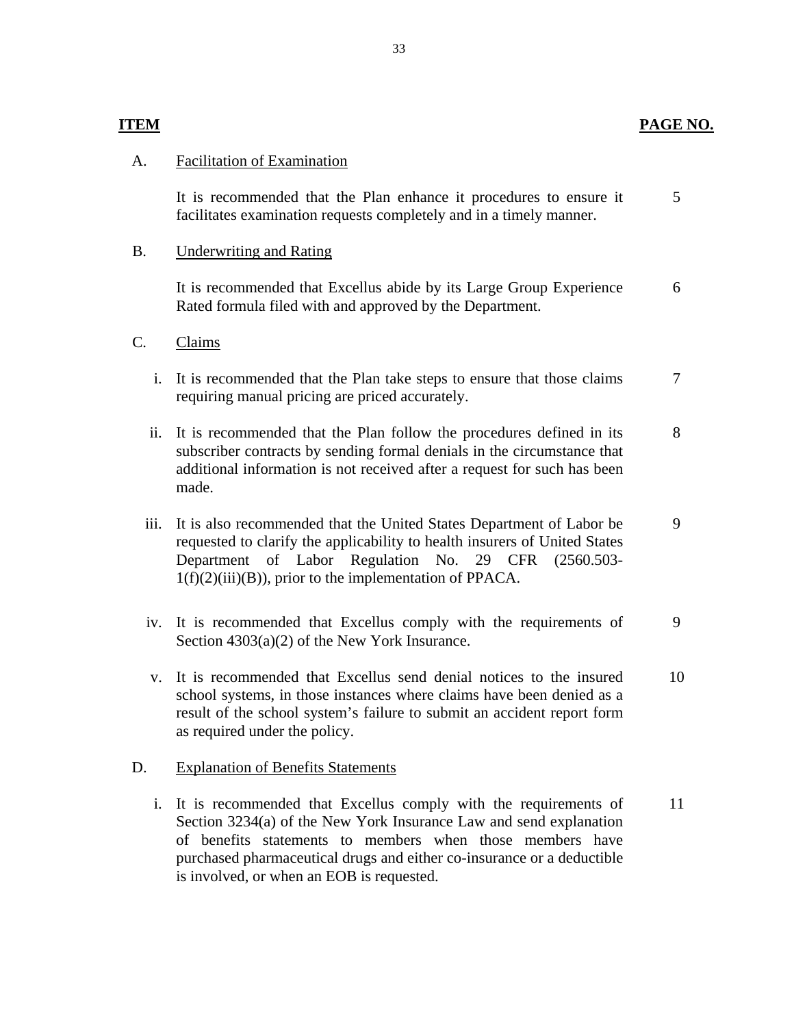# **PAGE NO.**

5

# <span id="page-34-0"></span> **ITEM**

## **Facilitation of Examination**

A. Facilitation of Examination<br>It is recommended that the Plan enhance it procedures to ensure it facilitates examination requests completely and in a timely manner.

### Underwriting and Rating

B. Underwriting and Rating<br>It is recommended that Excellus abide by its Large Group Experience Rated formula filed with and approved by the Department. 6

### Claims

- C. Claims<br>i. It is recommended that the Plan take steps to ensure that those claims requiring manual pricing are priced accurately. 7
	- ii. It is recommended that the Plan follow the procedures defined in its subscriber contracts by sending formal denials in the circumstance that additional information is not received after a request for such has been made. 8
	- iii. It is also recommended that the United States Department of Labor be requested to clarify the applicability to health insurers of United States Department of Labor Regulation No. 29 CFR (2560.503-  $1(f)(2)(iii)(B)$ , prior to the implementation of PPACA. 9
	- iv. It is recommended that Excellus comply with the requirements of Section 4303(a)(2) of the New York Insurance. 9
	- v. It is recommended that Excellus send denial notices to the insured school systems, in those instances where claims have been denied as a result of the school system's failure to submit an accident report form as required under the policy. 10

#### D. Explanation of Benefits Statements

i. It is recommended that Excellus comply with the requirements of Section 3234(a) of the New York Insurance Law and send explanation of benefits statements to members when those members have purchased pharmaceutical drugs and either co-insurance or a deductible is involved, or when an EOB is requested. 11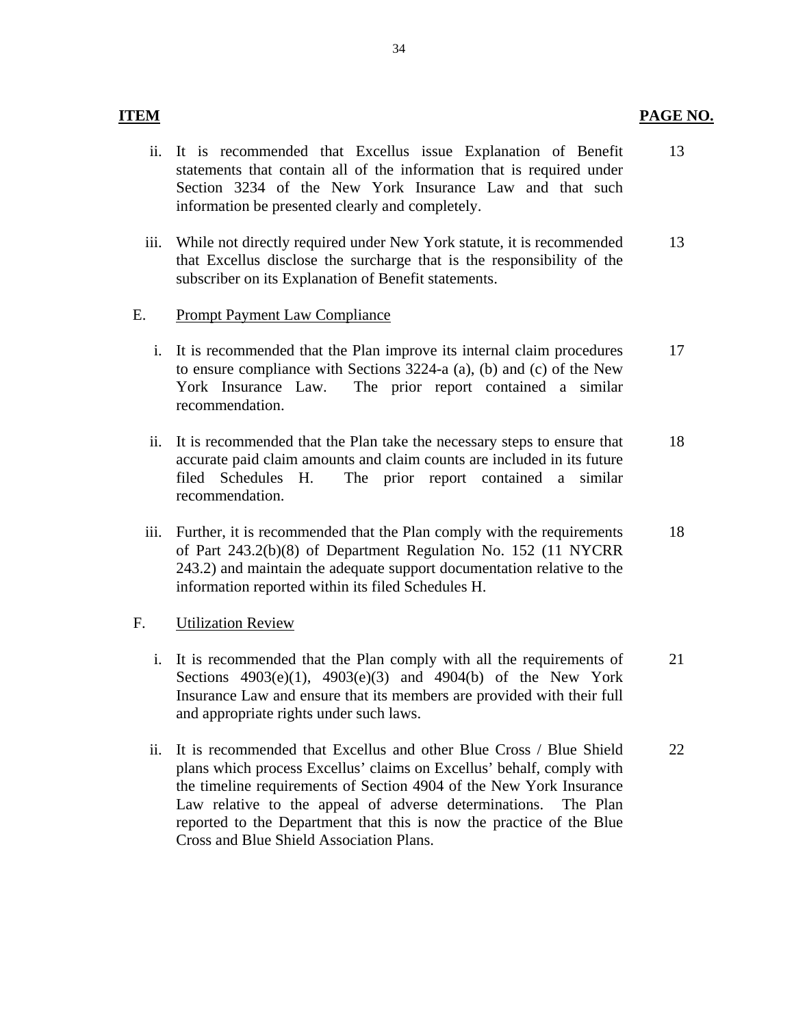- ii. It is recommended that Excellus issue Explanation of Benefit statements that contain all of the information that is required under Section 3234 of the New York Insurance Law and that such information be presented clearly and completely. 13
- iii. While not directly required under New York statute, it is recommended that Excellus disclose the surcharge that is the responsibility of the subscriber on its Explanation of Benefit statements. 13

## **Prompt Payment Law Compliance**

- E. Prompt Payment Law Compliance<br>i. It is recommended that the Plan improve its internal claim procedures to ensure compliance with Sections 3224-a (a), (b) and (c) of the New York Insurance Law. The prior report contained a similar recommendation. 17
	- ii. It is recommended that the Plan take the necessary steps to ensure that accurate paid claim amounts and claim counts are included in its future filed Schedules H. The prior report contained a similar recommendation. 18
	- iii. Further, it is recommended that the Plan comply with the requirements of Part 243.2(b)(8) of Department Regulation No. 152 (11 NYCRR 243.2) and maintain the adequate support documentation relative to the information reported within its filed Schedules H. 18

#### **Utilization Review**

- F. Utilization Review<br>i. It is recommended that the Plan comply with all the requirements of Sections 4903(e)(1), 4903(e)(3) and 4904(b) of the New York Insurance Law and ensure that its members are provided with their full and appropriate rights under such laws. 21
	- ii. It is recommended that Excellus and other Blue Cross / Blue Shield plans which process Excellus' claims on Excellus' behalf, comply with the timeline requirements of Section 4904 of the New York Insurance Law relative to the appeal of adverse determinations. The Plan reported to the Department that this is now the practice of the Blue Cross and Blue Shield Association Plans. 22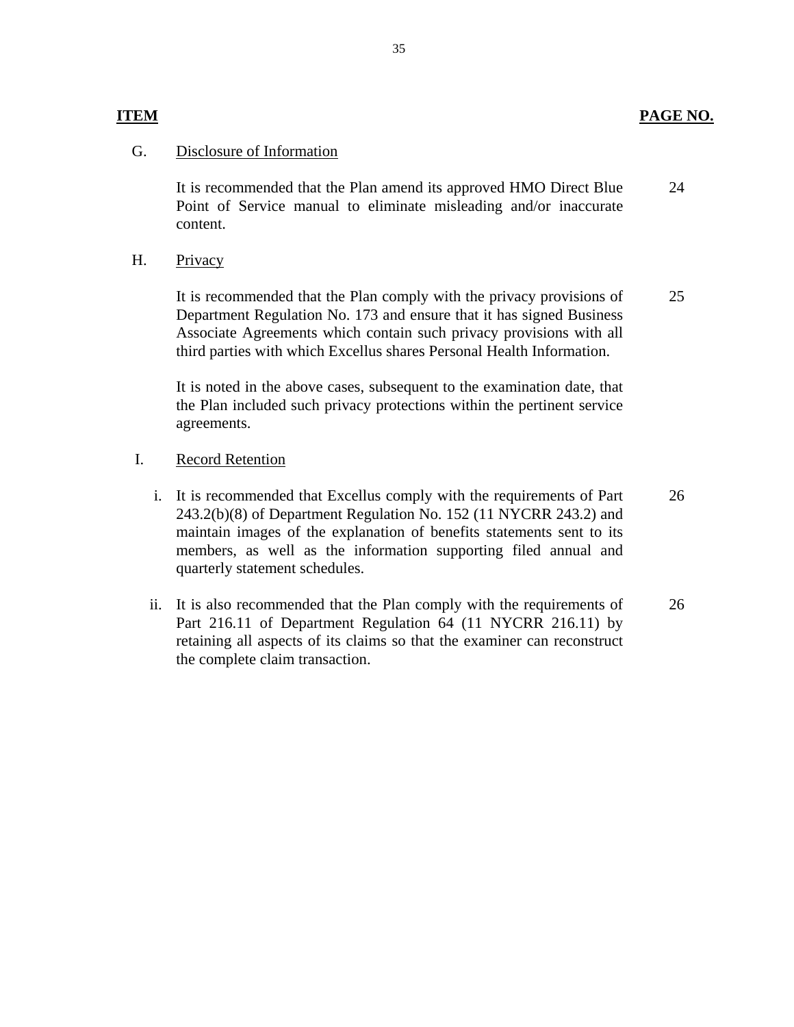### Disclosure of Information

G. Disclosure of Information<br>It is recommended that the Plan amend its approved HMO Direct Blue Point of Service manual to eliminate misleading and/or inaccurate content. 24

#### Privacy H.

It is recommended that the Plan comply with the privacy provisions of Department Regulation No. 173 and ensure that it has signed Business Associate Agreements which contain such privacy provisions with all third parties with which Excellus shares Personal Health Information. It is recommended that the Plan comply with the privacy provisions of<br>Department Regulation No. 173 and ensure that it has signed Business<br>Associate Agreements which contain such privacy provisions with all<br>third parties w

It is noted in the above cases, subsequent to the examination date, that the Plan included such privacy protections within the pertinent service agreements.

#### **Record Retention** I.

- i. It is recommended that Excellus comply with the requirements of Part 243.2(b)(8) of Department Regulation No. 152 (11 NYCRR 243.2) and maintain images of the explanation of benefits statements sent to its members, as well as the information supporting filed annual and quarterly statement schedules. 26
- ii. It is also recommended that the Plan comply with the requirements of Part 216.11 of Department Regulation 64 (11 NYCRR 216.11) by retaining all aspects of its claims so that the examiner can reconstruct the complete claim transaction. 26